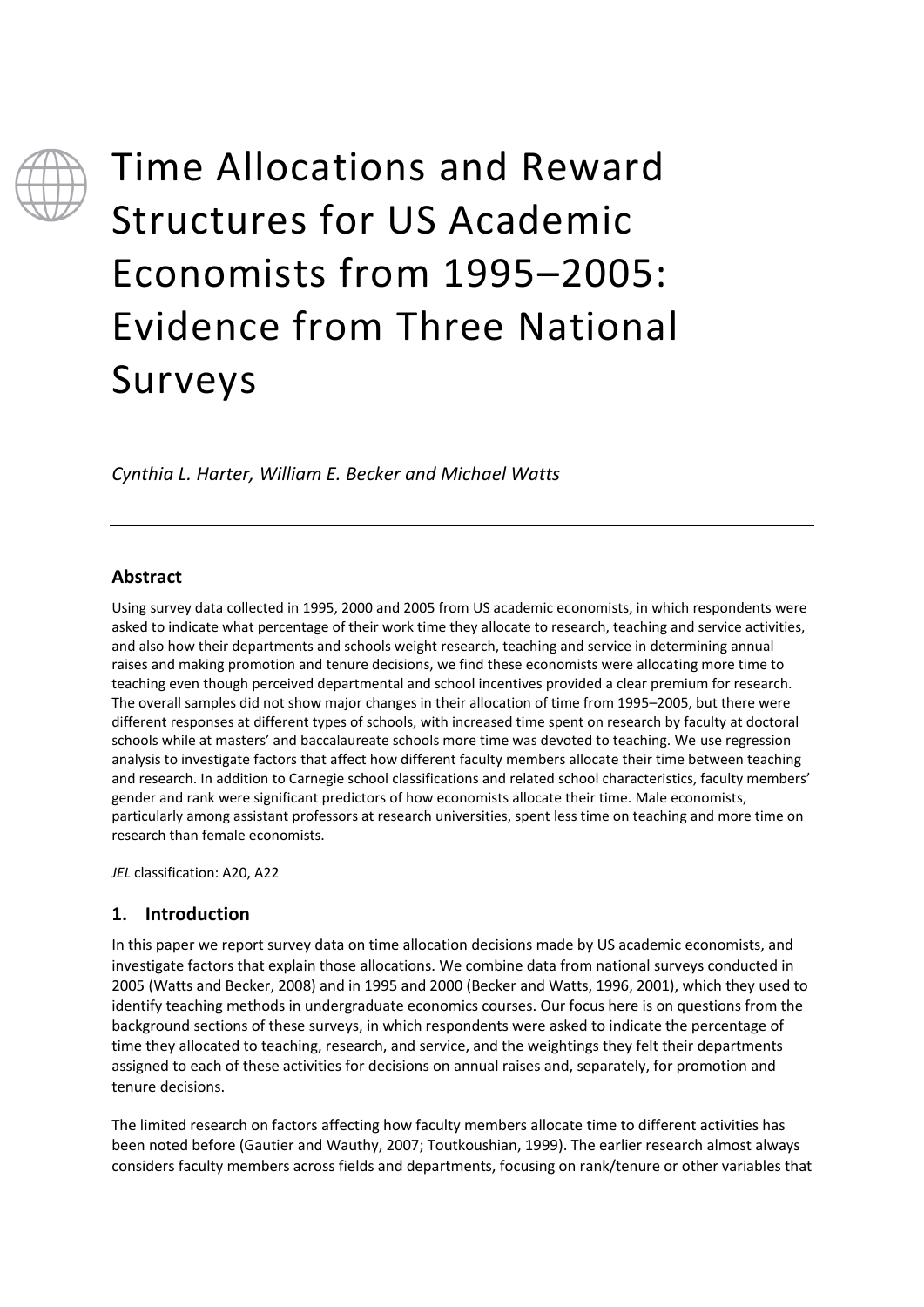

Time Allocations and Reward Structures for US Academic Economists from 1995–2005: Evidence from Three National Surveys

*Cynthia L. Harter, William E. Becker and Michael Watts*

### **Abstract**

Using survey data collected in 1995, 2000 and 2005 from US academic economists, in which respondents were asked to indicate what percentage of their work time they allocate to research, teaching and service activities, and also how their departments and schools weight research, teaching and service in determining annual raises and making promotion and tenure decisions, we find these economists were allocating more time to teaching even though perceived departmental and school incentives provided a clear premium for research. The overall samples did not show major changes in their allocation of time from 1995–2005, but there were different responses at different types of schools, with increased time spent on research by faculty at doctoral schools while at masters' and baccalaureate schools more time was devoted to teaching. We use regression analysis to investigate factors that affect how different faculty members allocate their time between teaching and research. In addition to Carnegie school classifications and related school characteristics, faculty members' gender and rank were significant predictors of how economists allocate their time. Male economists, particularly among assistant professors at research universities, spent less time on teaching and more time on research than female economists.

*JEL* classification: A20, A22

### **1. Introduction**

In this paper we report survey data on time allocation decisions made by US academic economists, and investigate factors that explain those allocations. We combine data from national surveys conducted in 2005 (Watts and Becker, 2008) and in 1995 and 2000 (Becker and Watts, 1996, 2001), which they used to identify teaching methods in undergraduate economics courses. Our focus here is on questions from the background sections of these surveys, in which respondents were asked to indicate the percentage of time they allocated to teaching, research, and service, and the weightings they felt their departments assigned to each of these activities for decisions on annual raises and, separately, for promotion and tenure decisions.

The limited research on factors affecting how faculty members allocate time to different activities has been noted before (Gautier and Wauthy, 2007; Toutkoushian, 1999). The earlier research almost always considers faculty members across fields and departments, focusing on rank/tenure or other variables that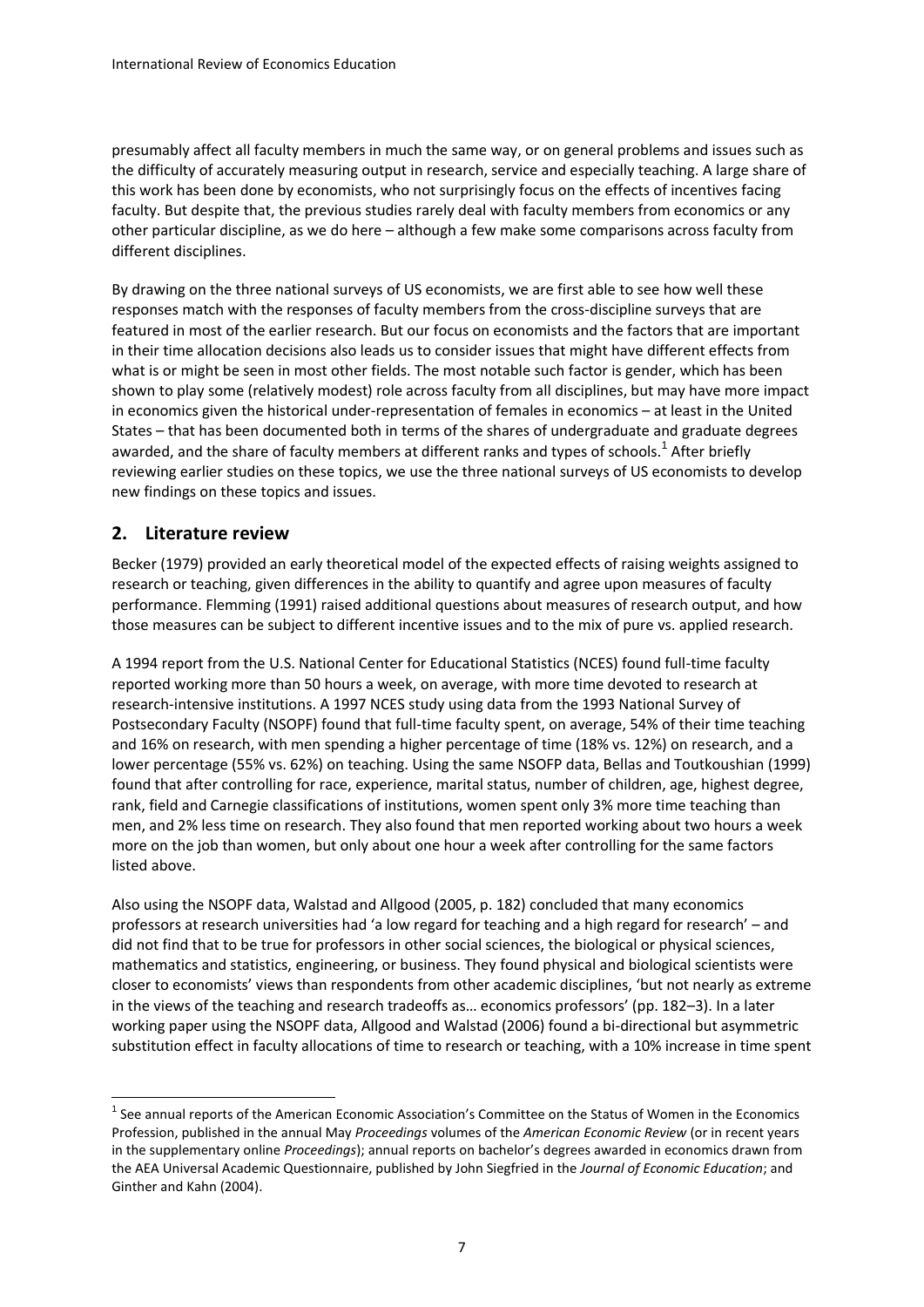presumably affect all faculty members in much the same way, or on general problems and issues such as the difficulty of accurately measuring output in research, service and especially teaching. A large share of this work has been done by economists, who not surprisingly focus on the effects of incentives facing faculty. But despite that, the previous studies rarely deal with faculty members from economics or any other particular discipline, as we do here – although a few make some comparisons across faculty from different disciplines.

By drawing on the three national surveys of US economists, we are first able to see how well these responses match with the responses of faculty members from the cross-discipline surveys that are featured in most of the earlier research. But our focus on economists and the factors that are important in their time allocation decisions also leads us to consider issues that might have different effects from what is or might be seen in most other fields. The most notable such factor is gender, which has been shown to play some (relatively modest) role across faculty from all disciplines, but may have more impact in economics given the historical under-representation of females in economics – at least in the United States – that has been documented both in terms of the shares of undergraduate and graduate degrees awarded, and the share of faculty members at different ranks and types of schools.<sup>1</sup> After briefly reviewing earlier studies on these topics, we use the three national surveys of US economists to develop new findings on these topics and issues.

# **2. Literature review**

-

Becker (1979) provided an early theoretical model of the expected effects of raising weights assigned to research or teaching, given differences in the ability to quantify and agree upon measures of faculty performance. Flemming (1991) raised additional questions about measures of research output, and how those measures can be subject to different incentive issues and to the mix of pure vs. applied research.

A 1994 report from the U.S. National Center for Educational Statistics (NCES) found full-time faculty reported working more than 50 hours a week, on average, with more time devoted to research at research-intensive institutions. A 1997 NCES study using data from the 1993 National Survey of Postsecondary Faculty (NSOPF) found that full-time faculty spent, on average, 54% of their time teaching and 16% on research, with men spending a higher percentage of time (18% vs. 12%) on research, and a lower percentage (55% vs. 62%) on teaching. Using the same NSOFP data, Bellas and Toutkoushian (1999) found that after controlling for race, experience, marital status, number of children, age, highest degree, rank, field and Carnegie classifications of institutions, women spent only 3% more time teaching than men, and 2% less time on research. They also found that men reported working about two hours a week more on the job than women, but only about one hour a week after controlling for the same factors listed above.

Also using the NSOPF data, Walstad and Allgood (2005, p. 182) concluded that many economics professors at research universities had 'a low regard for teaching and a high regard for research' – and did not find that to be true for professors in other social sciences, the biological or physical sciences, mathematics and statistics, engineering, or business. They found physical and biological scientists were closer to economists' views than respondents from other academic disciplines, 'but not nearly as extreme in the views of the teaching and research tradeoffs as… economics professors' (pp. 182–3). In a later working paper using the NSOPF data, Allgood and Walstad (2006) found a bi-directional but asymmetric substitution effect in faculty allocations of time to research or teaching, with a 10% increase in time spent

<sup>&</sup>lt;sup>1</sup> See annual reports of the American Economic Association's Committee on the Status of Women in the Economics Profession, published in the annual May *Proceedings* volumes of the *American Economic Review* (or in recent years in the supplementary online *Proceedings*); annual reports on bachelor's degrees awarded in economics drawn from the AEA Universal Academic Questionnaire, published by John Siegfried in the *Journal of Economic Education*; and Ginther and Kahn (2004).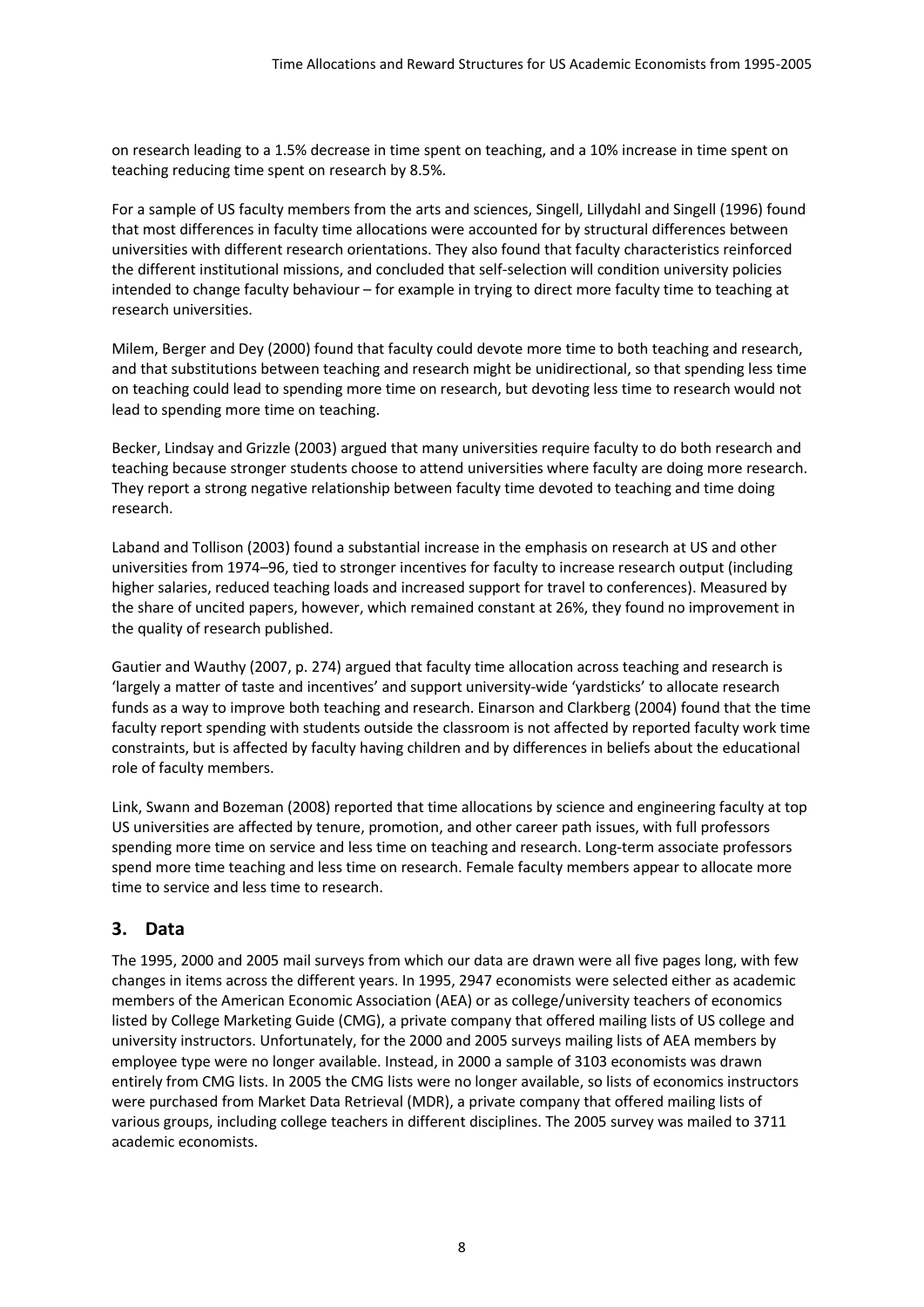on research leading to a 1.5% decrease in time spent on teaching, and a 10% increase in time spent on teaching reducing time spent on research by 8.5%.

For a sample of US faculty members from the arts and sciences, Singell, Lillydahl and Singell (1996) found that most differences in faculty time allocations were accounted for by structural differences between universities with different research orientations. They also found that faculty characteristics reinforced the different institutional missions, and concluded that self-selection will condition university policies intended to change faculty behaviour – for example in trying to direct more faculty time to teaching at research universities.

Milem, Berger and Dey (2000) found that faculty could devote more time to both teaching and research, and that substitutions between teaching and research might be unidirectional, so that spending less time on teaching could lead to spending more time on research, but devoting less time to research would not lead to spending more time on teaching.

Becker, Lindsay and Grizzle (2003) argued that many universities require faculty to do both research and teaching because stronger students choose to attend universities where faculty are doing more research. They report a strong negative relationship between faculty time devoted to teaching and time doing research.

Laband and Tollison (2003) found a substantial increase in the emphasis on research at US and other universities from 1974–96, tied to stronger incentives for faculty to increase research output (including higher salaries, reduced teaching loads and increased support for travel to conferences). Measured by the share of uncited papers, however, which remained constant at 26%, they found no improvement in the quality of research published.

Gautier and Wauthy (2007, p. 274) argued that faculty time allocation across teaching and research is 'largely a matter of taste and incentives' and support university-wide 'yardsticks' to allocate research funds as a way to improve both teaching and research. Einarson and Clarkberg (2004) found that the time faculty report spending with students outside the classroom is not affected by reported faculty work time constraints, but is affected by faculty having children and by differences in beliefs about the educational role of faculty members.

Link, Swann and Bozeman (2008) reported that time allocations by science and engineering faculty at top US universities are affected by tenure, promotion, and other career path issues, with full professors spending more time on service and less time on teaching and research. Long-term associate professors spend more time teaching and less time on research. Female faculty members appear to allocate more time to service and less time to research.

### **3. Data**

The 1995, 2000 and 2005 mail surveys from which our data are drawn were all five pages long, with few changes in items across the different years. In 1995, 2947 economists were selected either as academic members of the American Economic Association (AEA) or as college/university teachers of economics listed by College Marketing Guide (CMG), a private company that offered mailing lists of US college and university instructors. Unfortunately, for the 2000 and 2005 surveys mailing lists of AEA members by employee type were no longer available. Instead, in 2000 a sample of 3103 economists was drawn entirely from CMG lists. In 2005 the CMG lists were no longer available, so lists of economics instructors were purchased from Market Data Retrieval (MDR), a private company that offered mailing lists of various groups, including college teachers in different disciplines. The 2005 survey was mailed to 3711 academic economists.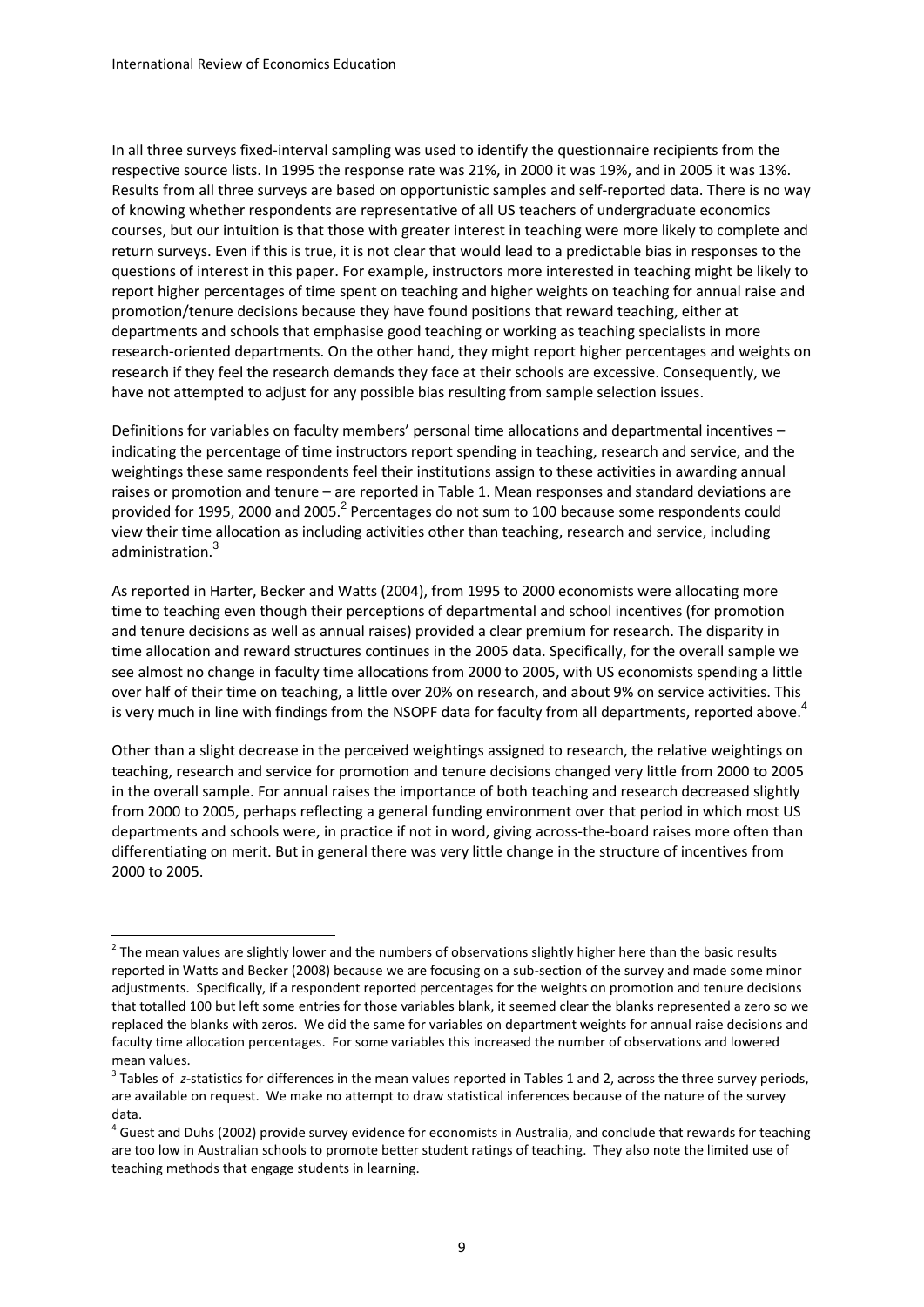-

In all three surveys fixed-interval sampling was used to identify the questionnaire recipients from the respective source lists. In 1995 the response rate was 21%, in 2000 it was 19%, and in 2005 it was 13%. Results from all three surveys are based on opportunistic samples and self-reported data. There is no way of knowing whether respondents are representative of all US teachers of undergraduate economics courses, but our intuition is that those with greater interest in teaching were more likely to complete and return surveys. Even if this is true, it is not clear that would lead to a predictable bias in responses to the questions of interest in this paper. For example, instructors more interested in teaching might be likely to report higher percentages of time spent on teaching and higher weights on teaching for annual raise and promotion/tenure decisions because they have found positions that reward teaching, either at departments and schools that emphasise good teaching or working as teaching specialists in more research-oriented departments. On the other hand, they might report higher percentages and weights on research if they feel the research demands they face at their schools are excessive. Consequently, we have not attempted to adjust for any possible bias resulting from sample selection issues.

Definitions for variables on faculty members' personal time allocations and departmental incentives – indicating the percentage of time instructors report spending in teaching, research and service, and the weightings these same respondents feel their institutions assign to these activities in awarding annual raises or promotion and tenure – are reported in Table 1. Mean responses and standard deviations are provided for 1995, 2000 and 2005.<sup>2</sup> Percentages do not sum to 100 because some respondents could view their time allocation as including activities other than teaching, research and service, including administration.<sup>3</sup>

As reported in Harter, Becker and Watts (2004), from 1995 to 2000 economists were allocating more time to teaching even though their perceptions of departmental and school incentives (for promotion and tenure decisions as well as annual raises) provided a clear premium for research. The disparity in time allocation and reward structures continues in the 2005 data. Specifically, for the overall sample we see almost no change in faculty time allocations from 2000 to 2005, with US economists spending a little over half of their time on teaching, a little over 20% on research, and about 9% on service activities. This is very much in line with findings from the NSOPF data for faculty from all departments, reported above.<sup>4</sup>

Other than a slight decrease in the perceived weightings assigned to research, the relative weightings on teaching, research and service for promotion and tenure decisions changed very little from 2000 to 2005 in the overall sample. For annual raises the importance of both teaching and research decreased slightly from 2000 to 2005, perhaps reflecting a general funding environment over that period in which most US departments and schools were, in practice if not in word, giving across-the-board raises more often than differentiating on merit. But in general there was very little change in the structure of incentives from 2000 to 2005.

 $2$  The mean values are slightly lower and the numbers of observations slightly higher here than the basic results reported in Watts and Becker (2008) because we are focusing on a sub-section of the survey and made some minor adjustments. Specifically, if a respondent reported percentages for the weights on promotion and tenure decisions that totalled 100 but left some entries for those variables blank, it seemed clear the blanks represented a zero so we replaced the blanks with zeros. We did the same for variables on department weights for annual raise decisions and faculty time allocation percentages. For some variables this increased the number of observations and lowered mean values.

<sup>&</sup>lt;sup>3</sup> Tables of z-statistics for differences in the mean values reported in Tables 1 and 2, across the three survey periods, are available on request. We make no attempt to draw statistical inferences because of the nature of the survey data.

<sup>&</sup>lt;sup>4</sup> Guest and Duhs (2002) provide survey evidence for economists in Australia, and conclude that rewards for teaching are too low in Australian schools to promote better student ratings of teaching. They also note the limited use of teaching methods that engage students in learning.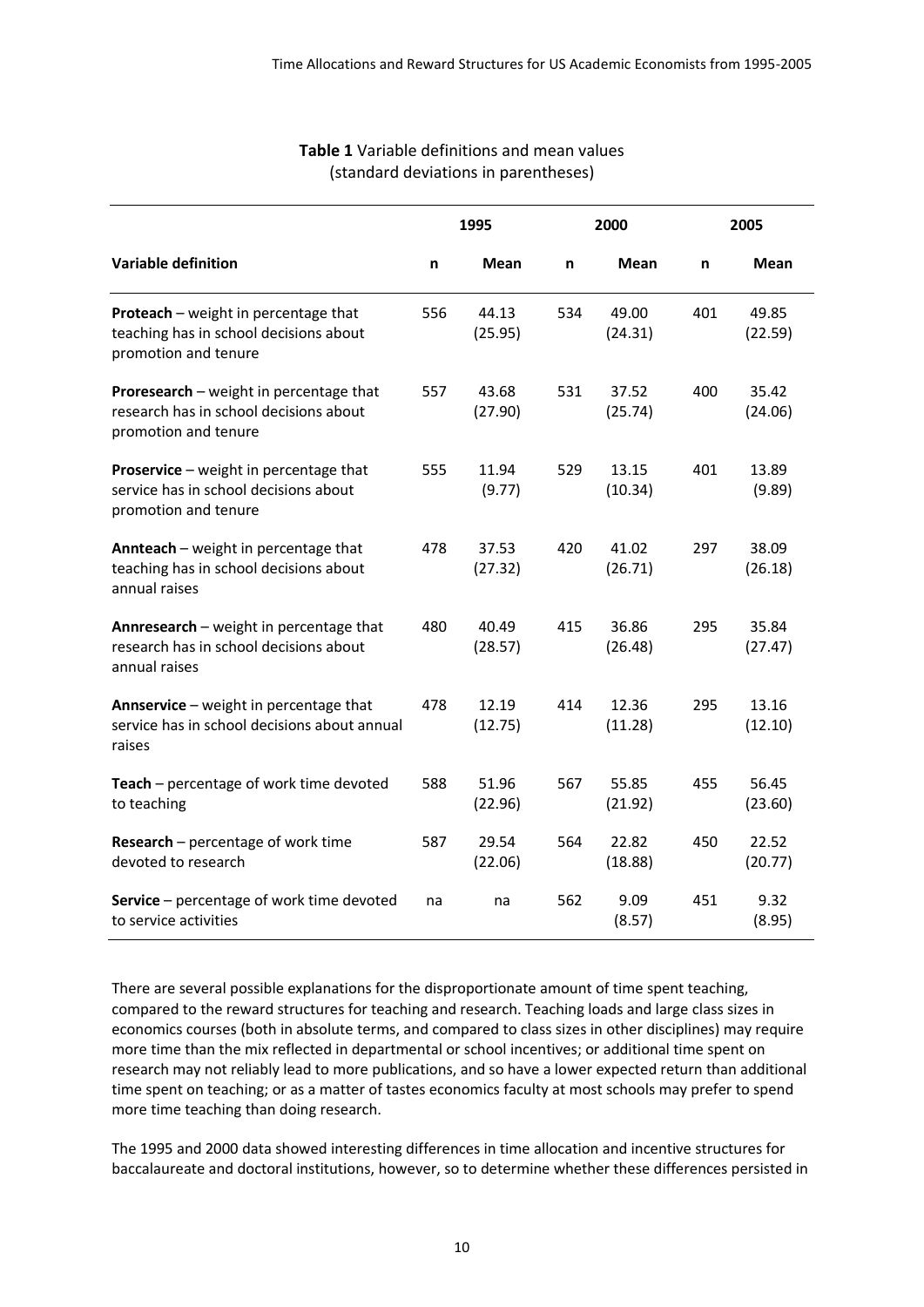|                                                                                                                |     | 1995             |     | 2000             |     | 2005             |  |
|----------------------------------------------------------------------------------------------------------------|-----|------------------|-----|------------------|-----|------------------|--|
| <b>Variable definition</b>                                                                                     | n   | Mean             | n   | Mean             | n   | Mean             |  |
| <b>Proteach</b> – weight in percentage that<br>teaching has in school decisions about<br>promotion and tenure  | 556 | 44.13<br>(25.95) | 534 | 49.00<br>(24.31) | 401 | 49.85<br>(22.59) |  |
| Proresearch - weight in percentage that<br>research has in school decisions about<br>promotion and tenure      | 557 | 43.68<br>(27.90) | 531 | 37.52<br>(25.74) | 400 | 35.42<br>(24.06) |  |
| <b>Proservice</b> – weight in percentage that<br>service has in school decisions about<br>promotion and tenure | 555 | 11.94<br>(9.77)  | 529 | 13.15<br>(10.34) | 401 | 13.89<br>(9.89)  |  |
| Annteach - weight in percentage that<br>teaching has in school decisions about<br>annual raises                | 478 | 37.53<br>(27.32) | 420 | 41.02<br>(26.71) | 297 | 38.09<br>(26.18) |  |
| <b>Annresearch</b> $-$ weight in percentage that<br>research has in school decisions about<br>annual raises    | 480 | 40.49<br>(28.57) | 415 | 36.86<br>(26.48) | 295 | 35.84<br>(27.47) |  |
| Annservice - weight in percentage that<br>service has in school decisions about annual<br>raises               | 478 | 12.19<br>(12.75) | 414 | 12.36<br>(11.28) | 295 | 13.16<br>(12.10) |  |
| Teach - percentage of work time devoted<br>to teaching                                                         | 588 | 51.96<br>(22.96) | 567 | 55.85<br>(21.92) | 455 | 56.45<br>(23.60) |  |
| <b>Research</b> – percentage of work time<br>devoted to research                                               | 587 | 29.54<br>(22.06) | 564 | 22.82<br>(18.88) | 450 | 22.52<br>(20.77) |  |
| Service - percentage of work time devoted<br>to service activities                                             | na  | na               | 562 | 9.09<br>(8.57)   | 451 | 9.32<br>(8.95)   |  |

### **Table 1** Variable definitions and mean values (standard deviations in parentheses)

There are several possible explanations for the disproportionate amount of time spent teaching, compared to the reward structures for teaching and research. Teaching loads and large class sizes in economics courses (both in absolute terms, and compared to class sizes in other disciplines) may require more time than the mix reflected in departmental or school incentives; or additional time spent on research may not reliably lead to more publications, and so have a lower expected return than additional time spent on teaching; or as a matter of tastes economics faculty at most schools may prefer to spend more time teaching than doing research.

The 1995 and 2000 data showed interesting differences in time allocation and incentive structures for baccalaureate and doctoral institutions, however, so to determine whether these differences persisted in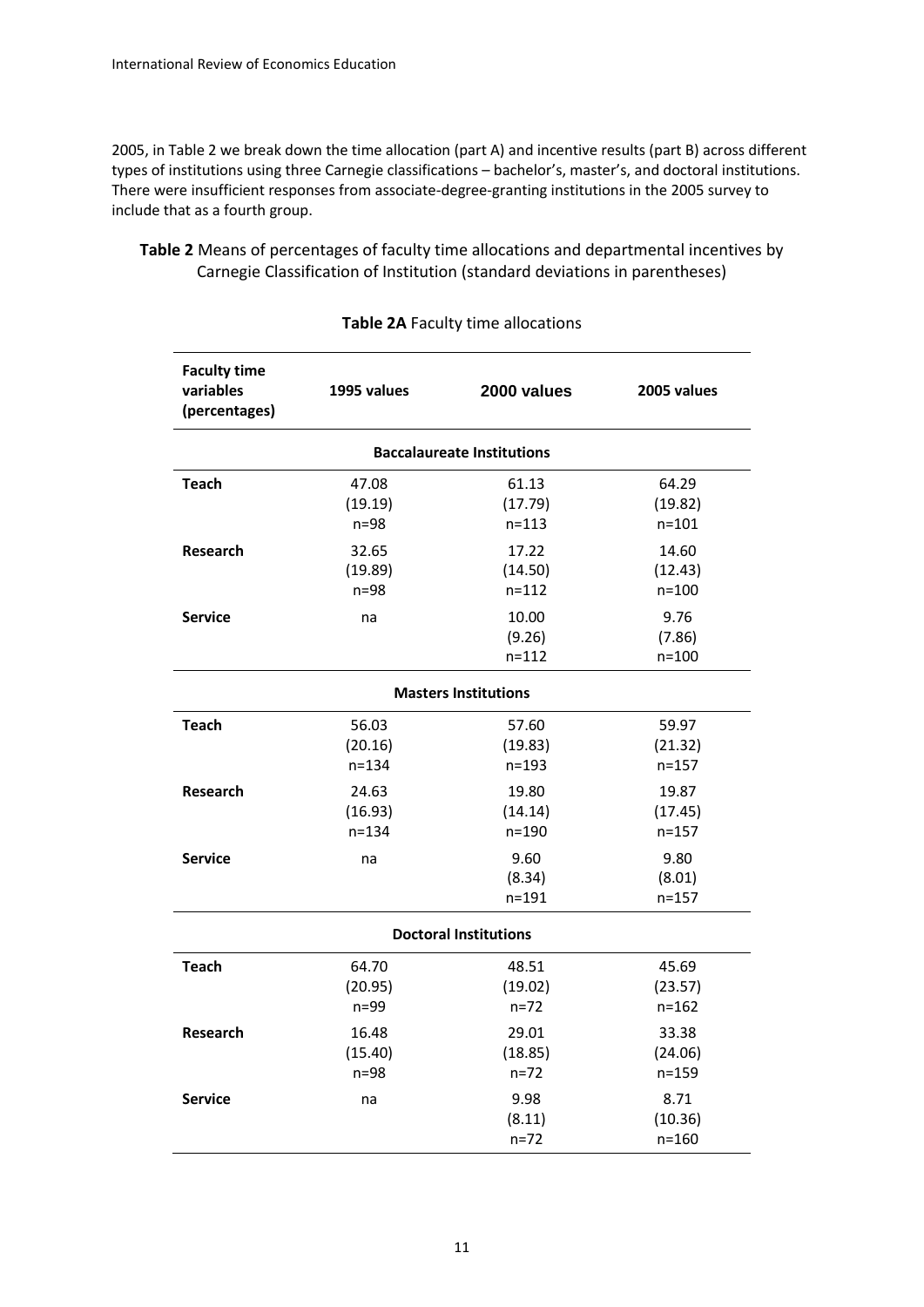2005, in Table 2 we break down the time allocation (part A) and incentive results (part B) across different types of institutions using three Carnegie classifications – bachelor's, master's, and doctoral institutions. There were insufficient responses from associate-degree-granting institutions in the 2005 survey to include that as a fourth group.

**Table 2** Means of percentages of faculty time allocations and departmental incentives by Carnegie Classification of Institution (standard deviations in parentheses)

| <b>Faculty time</b><br>variables<br>(percentages) | 1995 values                   | 2000 values                   | 2005 values                   |  |  |
|---------------------------------------------------|-------------------------------|-------------------------------|-------------------------------|--|--|
| <b>Baccalaureate Institutions</b>                 |                               |                               |                               |  |  |
| <b>Teach</b>                                      | 47.08<br>(19.19)<br>$n=98$    | 61.13<br>(17.79)<br>$n = 113$ | 64.29<br>(19.82)<br>$n = 101$ |  |  |
| Research                                          | 32.65<br>(19.89)<br>$n=98$    | 17.22<br>(14.50)<br>$n = 112$ | 14.60<br>(12.43)<br>$n = 100$ |  |  |
| <b>Service</b>                                    | na                            | 10.00<br>(9.26)<br>$n = 112$  | 9.76<br>(7.86)<br>$n = 100$   |  |  |
|                                                   |                               | <b>Masters Institutions</b>   |                               |  |  |
| <b>Teach</b>                                      | 56.03<br>(20.16)<br>$n = 134$ | 57.60<br>(19.83)<br>$n = 193$ | 59.97<br>(21.32)<br>$n = 157$ |  |  |
| <b>Research</b>                                   | 24.63<br>(16.93)<br>$n = 134$ | 19.80<br>(14.14)<br>$n = 190$ | 19.87<br>(17.45)<br>$n = 157$ |  |  |
| <b>Service</b>                                    | na                            | 9.60<br>(8.34)<br>$n = 191$   | 9.80<br>(8.01)<br>$n = 157$   |  |  |
| <b>Doctoral Institutions</b>                      |                               |                               |                               |  |  |
| <b>Teach</b>                                      | 64.70<br>(20.95)<br>$n=99$    | 48.51<br>(19.02)<br>$n = 72$  | 45.69<br>(23.57)<br>$n = 162$ |  |  |
| <b>Research</b>                                   | 16.48<br>(15.40)<br>$n=98$    | 29.01<br>(18.85)<br>$n = 72$  | 33.38<br>(24.06)<br>$n = 159$ |  |  |
| <b>Service</b>                                    | na                            | 9.98<br>(8.11)<br>$n = 72$    | 8.71<br>(10.36)<br>$n = 160$  |  |  |

### **Table 2A** Faculty time allocations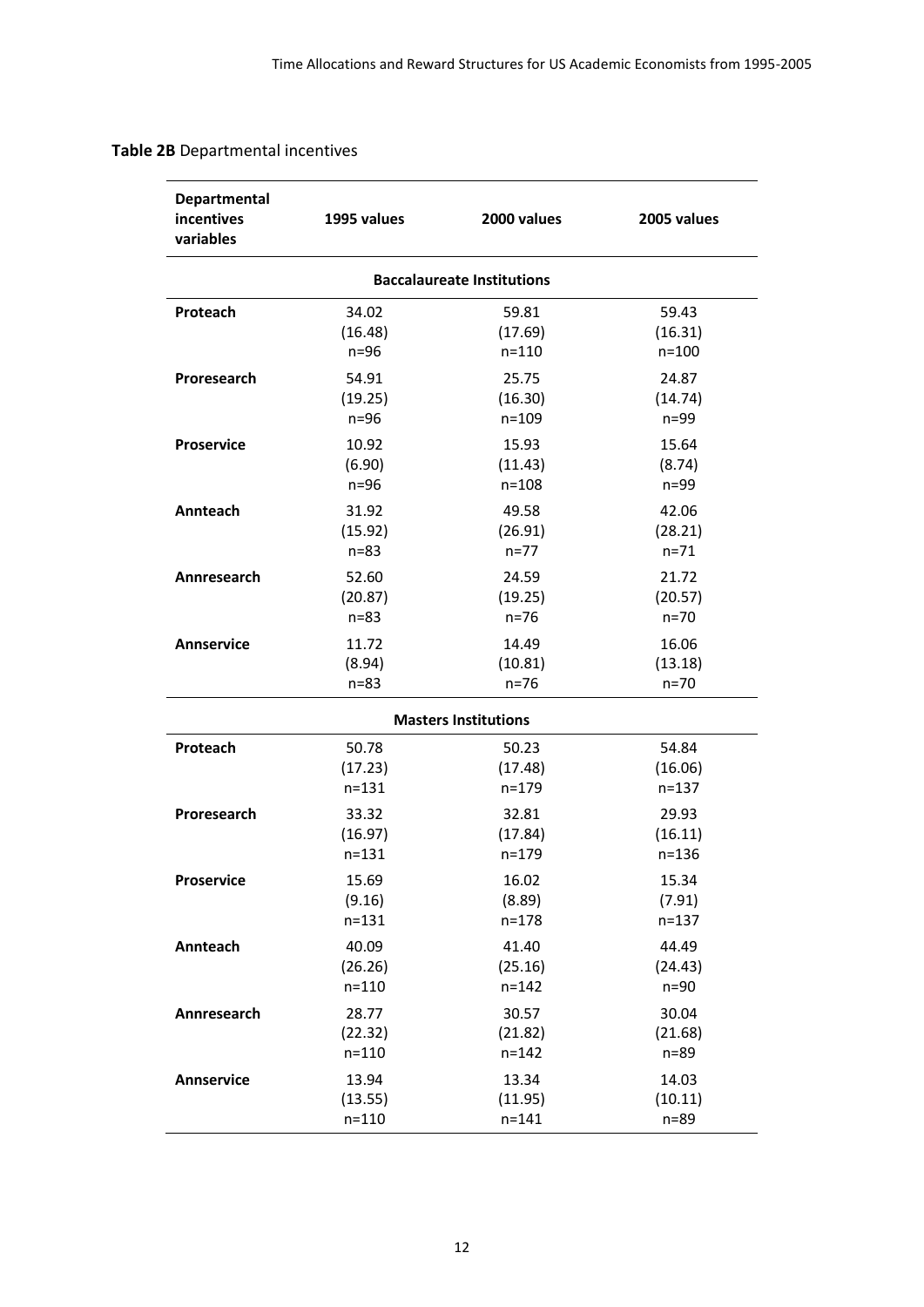# **Table 2B** Departmental incentives

| <b>Departmental</b><br>incentives<br>variables | 1995 values | 2000 values                       | 2005 values |
|------------------------------------------------|-------------|-----------------------------------|-------------|
|                                                |             | <b>Baccalaureate Institutions</b> |             |
| Proteach                                       | 34.02       | 59.81                             | 59.43       |
|                                                | (16.48)     | (17.69)                           | (16.31)     |
|                                                | $n=96$      | $n = 110$                         | $n = 100$   |
| Proresearch                                    | 54.91       | 25.75                             | 24.87       |
|                                                | (19.25)     | (16.30)                           | (14.74)     |
|                                                | $n=96$      | $n = 109$                         | $n=99$      |
| <b>Proservice</b>                              | 10.92       | 15.93                             | 15.64       |
|                                                | (6.90)      | (11.43)                           | (8.74)      |
|                                                | $n=96$      | $n = 108$                         | $n=99$      |
| Annteach                                       | 31.92       | 49.58                             | 42.06       |
|                                                | (15.92)     | (26.91)                           | (28.21)     |
|                                                | $n = 83$    | $n = 77$                          | $n = 71$    |
| Annresearch                                    | 52.60       | 24.59                             | 21.72       |
|                                                | (20.87)     | (19.25)                           | (20.57)     |
|                                                | $n = 83$    | $n = 76$                          | $n = 70$    |
| <b>Annservice</b>                              | 11.72       | 14.49                             | 16.06       |
|                                                | (8.94)      | (10.81)                           | (13.18)     |
|                                                | $n=83$      | $n = 76$                          | $n = 70$    |
|                                                |             | <b>Masters Institutions</b>       |             |
| Proteach                                       | 50.78       | 50.23                             | 54.84       |
|                                                | (17.23)     | (17.48)                           | (16.06)     |
|                                                | $n = 131$   | $n = 179$                         | $n = 137$   |
| Proresearch                                    | 33.32       | 32.81                             | 29.93       |
|                                                | (16.97)     | (17.84)                           | (16.11)     |
|                                                | $n = 131$   | $n = 179$                         | $n = 136$   |
| <b>Proservice</b>                              | 15.69       | 16.02                             | 15.34       |
|                                                | (9.16)      | (8.89)                            | (7.91)      |
|                                                | $n = 131$   | $n = 178$                         | $n = 137$   |
| Annteach                                       | 40.09       | 41.40                             | 44.49       |
|                                                | (26.26)     | (25.16)                           | (24.43)     |
|                                                | $n = 110$   | $n = 142$                         | $n=90$      |
| Annresearch                                    | 28.77       | 30.57                             | 30.04       |
|                                                | (22.32)     | (21.82)                           | (21.68)     |
|                                                | $n = 110$   | $n = 142$                         | $n=89$      |
| Annservice                                     | 13.94       | 13.34                             | 14.03       |
|                                                | (13.55)     | (11.95)                           | (10.11)     |
|                                                | $n = 110$   | $n = 141$                         | $n=89$      |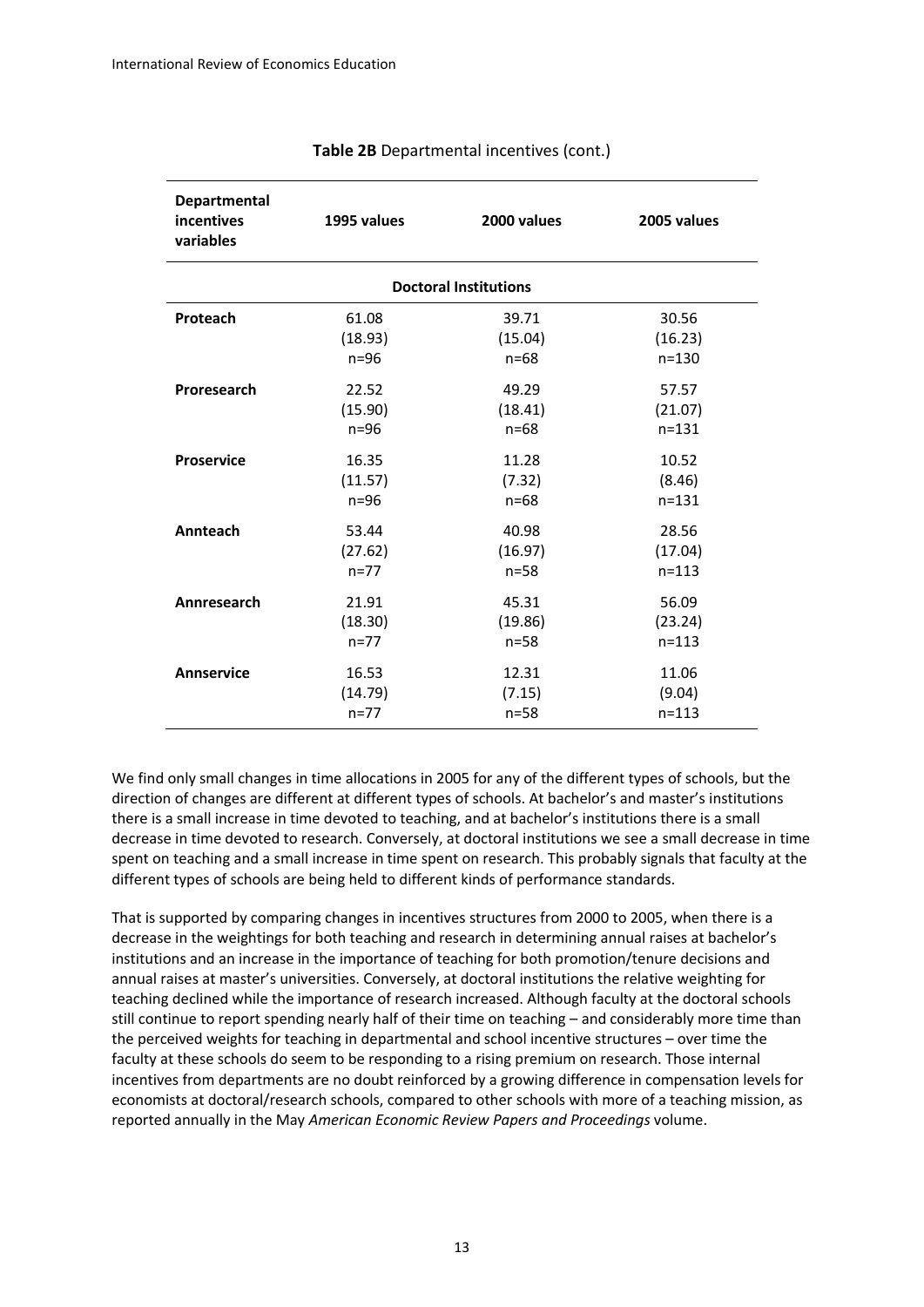| <b>Departmental</b><br>incentives<br>variables | 1995 values<br>2000 values |                              | 2005 values |
|------------------------------------------------|----------------------------|------------------------------|-------------|
|                                                |                            | <b>Doctoral Institutions</b> |             |
| Proteach                                       | 61.08                      | 39.71                        | 30.56       |
|                                                | (18.93)                    | (15.04)                      | (16.23)     |
|                                                | $n=96$                     | $n=68$                       | $n = 130$   |
| Proresearch                                    | 22.52                      | 49.29                        | 57.57       |
|                                                | (15.90)                    | (18.41)                      | (21.07)     |
|                                                | $n=96$                     | $n = 68$                     | $n = 131$   |
| <b>Proservice</b>                              | 16.35                      | 11.28                        | 10.52       |
|                                                | (11.57)                    | (7.32)                       | (8.46)      |
|                                                | $n=96$                     | $n = 68$                     | $n = 131$   |
| Annteach                                       | 53.44                      | 40.98                        | 28.56       |
|                                                | (27.62)                    | (16.97)                      | (17.04)     |
|                                                | $n = 77$                   | $n=58$                       | $n = 113$   |
| Annresearch                                    | 21.91                      | 45.31                        | 56.09       |
|                                                | (18.30)                    | (19.86)                      | (23.24)     |
|                                                | $n = 77$                   | $n=58$                       | $n = 113$   |
| <b>Annservice</b>                              | 16.53                      | 12.31                        | 11.06       |
|                                                | (14.79)                    | (7.15)                       | (9.04)      |
|                                                | $n = 77$                   | $n=58$                       | $n = 113$   |

#### Table 2B Departmental incentives (cont.)

We find only small changes in time allocations in 2005 for any of the different types of schools, but the direction of changes are different at different types of schools. At bachelor's and master's institutions there is a small increase in time devoted to teaching, and at bachelor's institutions there is a small decrease in time devoted to research. Conversely, at doctoral institutions we see a small decrease in time spent on teaching and a small increase in time spent on research. This probably signals that faculty at the different types of schools are being held to different kinds of performance standards.

That is supported by comparing changes in incentives structures from 2000 to 2005, when there is a decrease in the weightings for both teaching and research in determining annual raises at bachelor's institutions and an increase in the importance of teaching for both promotion/tenure decisions and annual raises at master's universities. Conversely, at doctoral institutions the relative weighting for teaching declined while the importance of research increased. Although faculty at the doctoral schools still continue to report spending nearly half of their time on teaching – and considerably more time than the perceived weights for teaching in departmental and school incentive structures – over time the faculty at these schools do seem to be responding to a rising premium on research. Those internal incentives from departments are no doubt reinforced by a growing difference in compensation levels for economists at doctoral/research schools, compared to other schools with more of a teaching mission, as reported annually in the May *American Economic Review Papers and Proceedings* volume.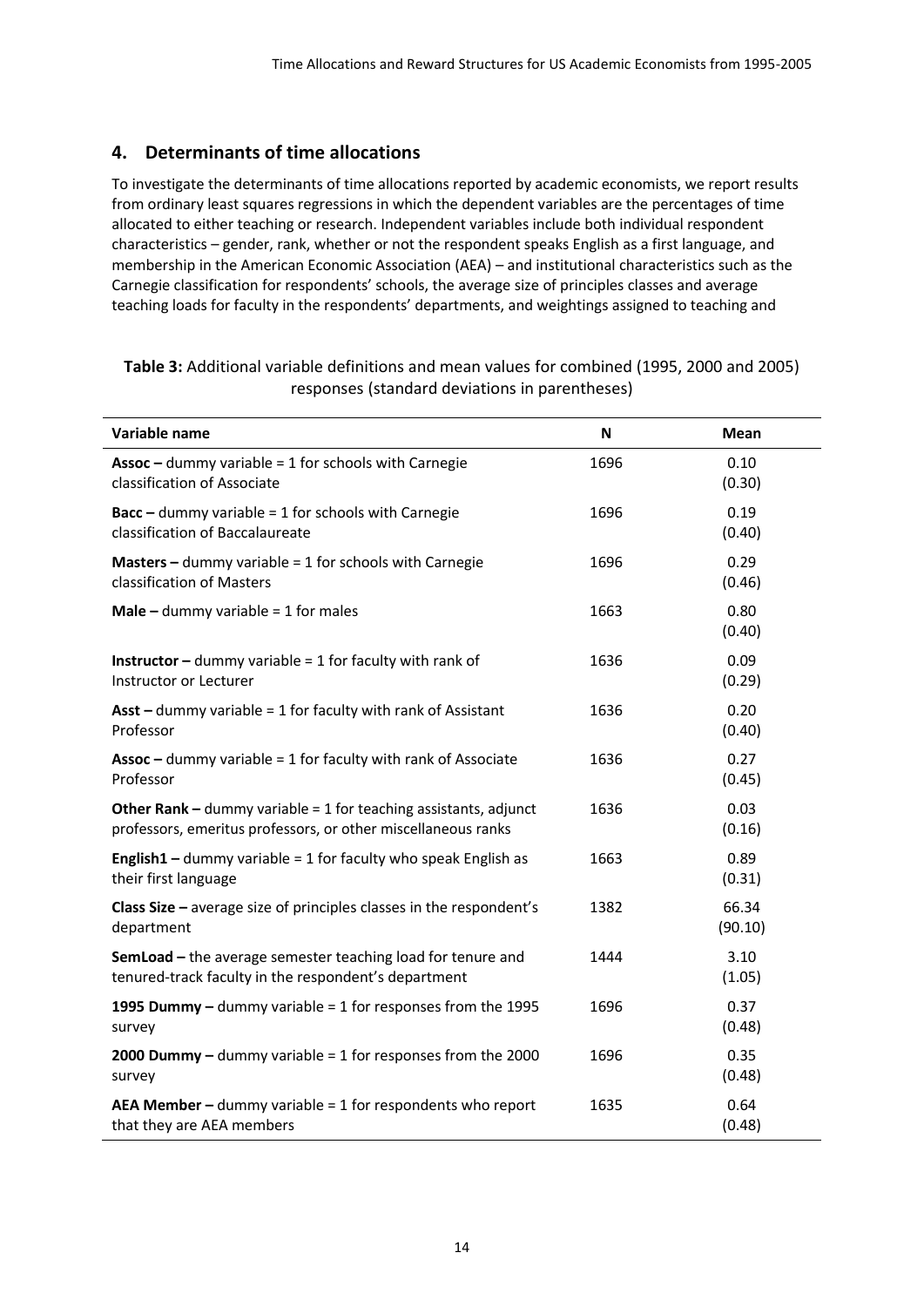### **4. Determinants of time allocations**

To investigate the determinants of time allocations reported by academic economists, we report results from ordinary least squares regressions in which the dependent variables are the percentages of time allocated to either teaching or research. Independent variables include both individual respondent characteristics – gender, rank, whether or not the respondent speaks English as a first language, and membership in the American Economic Association (AEA) – and institutional characteristics such as the Carnegie classification for respondents' schools, the average size of principles classes and average teaching loads for faculty in the respondents' departments, and weightings assigned to teaching and

| Variable name                                                                                                                       | N    | Mean             |
|-------------------------------------------------------------------------------------------------------------------------------------|------|------------------|
|                                                                                                                                     |      |                  |
| Assoc $-$ dummy variable = 1 for schools with Carnegie<br>classification of Associate                                               | 1696 | 0.10<br>(0.30)   |
| <b>Bacc</b> - dummy variable = 1 for schools with Carnegie<br>classification of Baccalaureate                                       | 1696 | 0.19<br>(0.40)   |
| <b>Masters</b> – dummy variable = 1 for schools with Carnegie<br>classification of Masters                                          | 1696 | 0.29<br>(0.46)   |
| <b>Male - dummy variable = 1 for males</b>                                                                                          | 1663 | 0.80<br>(0.40)   |
| <b>Instructor</b> – dummy variable = 1 for faculty with rank of<br>Instructor or Lecturer                                           | 1636 | 0.09<br>(0.29)   |
| Asst $-$ dummy variable = 1 for faculty with rank of Assistant<br>Professor                                                         | 1636 | 0.20<br>(0.40)   |
| Assoc $-$ dummy variable = 1 for faculty with rank of Associate<br>Professor                                                        | 1636 | 0.27<br>(0.45)   |
| Other Rank $-$ dummy variable = 1 for teaching assistants, adjunct<br>professors, emeritus professors, or other miscellaneous ranks | 1636 | 0.03<br>(0.16)   |
| <b>English1</b> – dummy variable = 1 for faculty who speak English as<br>their first language                                       | 1663 | 0.89<br>(0.31)   |
| Class Size - average size of principles classes in the respondent's<br>department                                                   | 1382 | 66.34<br>(90.10) |
| SemLoad - the average semester teaching load for tenure and<br>tenured-track faculty in the respondent's department                 | 1444 | 3.10<br>(1.05)   |
| 1995 Dummy $-$ dummy variable = 1 for responses from the 1995<br>survey                                                             | 1696 | 0.37<br>(0.48)   |
| 2000 Dummy $-$ dummy variable = 1 for responses from the 2000<br>survey                                                             | 1696 | 0.35<br>(0.48)   |
| AEA Member $-$ dummy variable = 1 for respondents who report<br>that they are AEA members                                           | 1635 | 0.64<br>(0.48)   |

**Table 3:** Additional variable definitions and mean values for combined (1995, 2000 and 2005) responses (standard deviations in parentheses)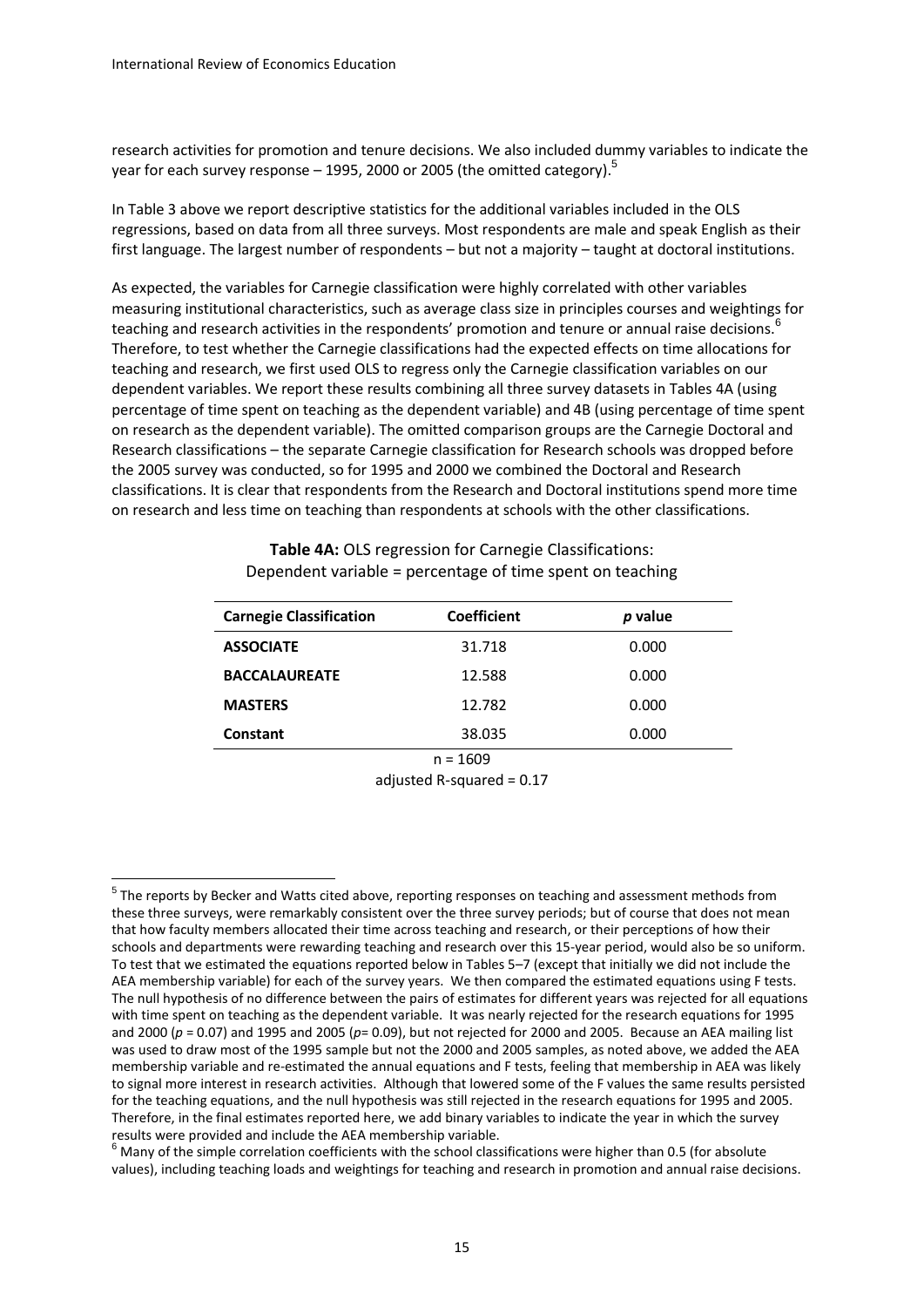research activities for promotion and tenure decisions. We also included dummy variables to indicate the year for each survey response  $-$  1995, 2000 or 2005 (the omitted category).<sup>5</sup>

In Table 3 above we report descriptive statistics for the additional variables included in the OLS regressions, based on data from all three surveys. Most respondents are male and speak English as their first language. The largest number of respondents – but not a majority – taught at doctoral institutions.

As expected, the variables for Carnegie classification were highly correlated with other variables measuring institutional characteristics, such as average class size in principles courses and weightings for teaching and research activities in the respondents' promotion and tenure or annual raise decisions. Therefore, to test whether the Carnegie classifications had the expected effects on time allocations for teaching and research, we first used OLS to regress only the Carnegie classification variables on our dependent variables. We report these results combining all three survey datasets in Tables 4A (using percentage of time spent on teaching as the dependent variable) and 4B (using percentage of time spent on research as the dependent variable). The omitted comparison groups are the Carnegie Doctoral and Research classifications – the separate Carnegie classification for Research schools was dropped before the 2005 survey was conducted, so for 1995 and 2000 we combined the Doctoral and Research classifications. It is clear that respondents from the Research and Doctoral institutions spend more time on research and less time on teaching than respondents at schools with the other classifications.

| <b>Carnegie Classification</b> | <b>Coefficient</b> | p value |
|--------------------------------|--------------------|---------|
| <b>ASSOCIATE</b>               | 31.718             | 0.000   |
| <b>BACCALAUREATE</b>           | 12.588             | 0.000   |
| <b>MASTERS</b>                 | 12.782             | 0.000   |
| <b>Constant</b>                | 38.035             | 0.000   |
|                                | $n = 1609$         |         |

**Table 4A:** OLS regression for Carnegie Classifications: Dependent variable = percentage of time spent on teaching

adjusted R-squared = 0.17

 5 The reports by Becker and Watts cited above, reporting responses on teaching and assessment methods from these three surveys, were remarkably consistent over the three survey periods; but of course that does not mean that how faculty members allocated their time across teaching and research, or their perceptions of how their schools and departments were rewarding teaching and research over this 15-year period, would also be so uniform. To test that we estimated the equations reported below in Tables 5–7 (except that initially we did not include the AEA membership variable) for each of the survey years. We then compared the estimated equations using F tests. The null hypothesis of no difference between the pairs of estimates for different years was rejected for all equations with time spent on teaching as the dependent variable. It was nearly rejected for the research equations for 1995 and 2000 (*p* = 0.07) and 1995 and 2005 (*p*= 0.09), but not rejected for 2000 and 2005. Because an AEA mailing list was used to draw most of the 1995 sample but not the 2000 and 2005 samples, as noted above, we added the AEA membership variable and re-estimated the annual equations and F tests, feeling that membership in AEA was likely to signal more interest in research activities. Although that lowered some of the F values the same results persisted for the teaching equations, and the null hypothesis was still rejected in the research equations for 1995 and 2005. Therefore, in the final estimates reported here, we add binary variables to indicate the year in which the survey results were provided and include the AEA membership variable.

 $6$  Many of the simple correlation coefficients with the school classifications were higher than 0.5 (for absolute values), including teaching loads and weightings for teaching and research in promotion and annual raise decisions.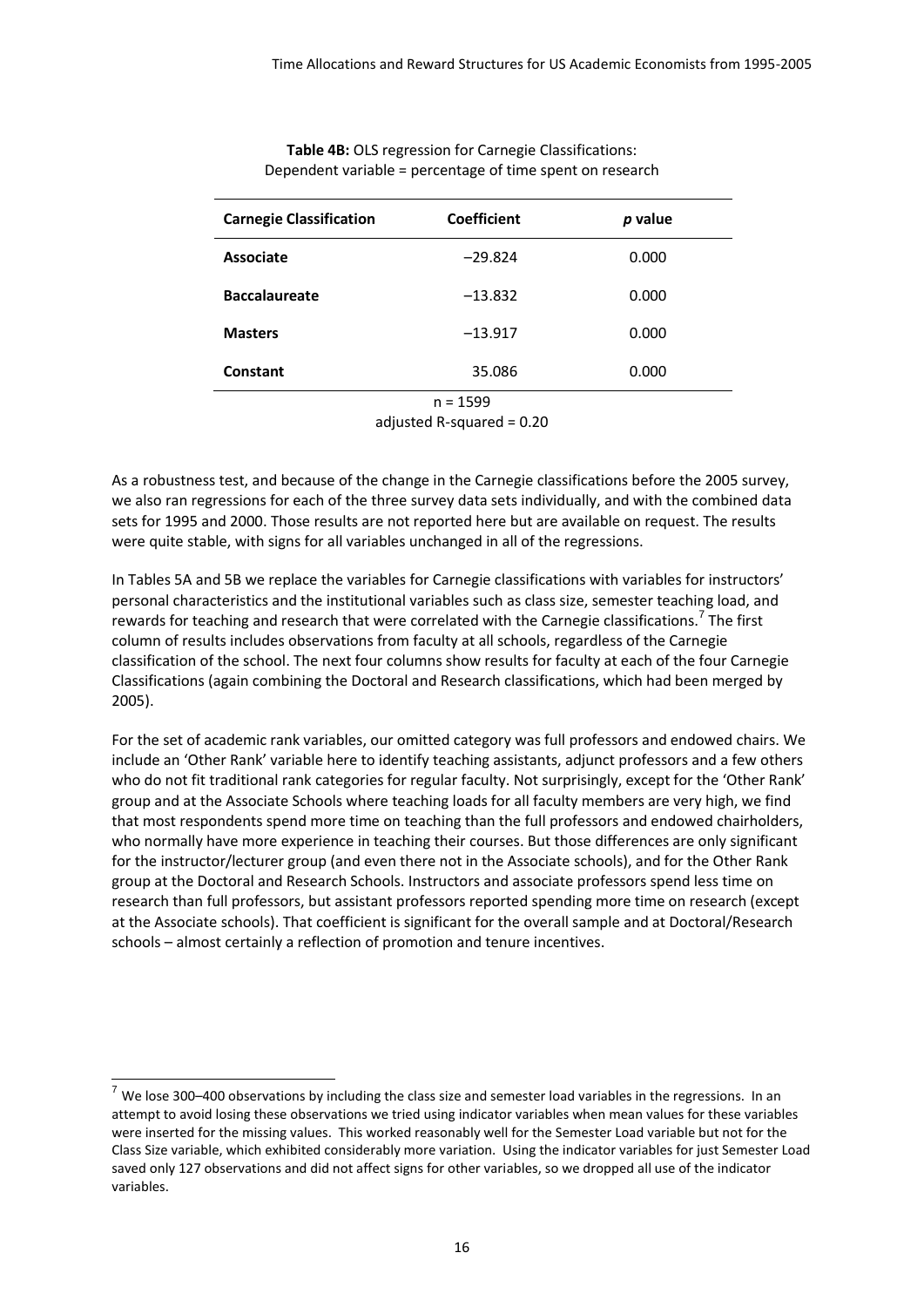| <b>Carnegie Classification</b>            | <b>Coefficient</b> | p value |  |  |
|-------------------------------------------|--------------------|---------|--|--|
| <b>Associate</b>                          | $-29.824$          | 0.000   |  |  |
| <b>Baccalaureate</b>                      | $-13.832$          | 0.000   |  |  |
| <b>Masters</b>                            | $-13.917$          | 0.000   |  |  |
| Constant                                  | 35.086             | 0.000   |  |  |
| $n = 1599$<br>adjusted R-squared = $0.20$ |                    |         |  |  |

**Table 4B:** OLS regression for Carnegie Classifications: Dependent variable = percentage of time spent on research

As a robustness test, and because of the change in the Carnegie classifications before the 2005 survey, we also ran regressions for each of the three survey data sets individually, and with the combined data sets for 1995 and 2000. Those results are not reported here but are available on request. The results were quite stable, with signs for all variables unchanged in all of the regressions.

In Tables 5A and 5B we replace the variables for Carnegie classifications with variables for instructors' personal characteristics and the institutional variables such as class size, semester teaching load, and rewards for teaching and research that were correlated with the Carnegie classifications.<sup>7</sup> The first column of results includes observations from faculty at all schools, regardless of the Carnegie classification of the school. The next four columns show results for faculty at each of the four Carnegie Classifications (again combining the Doctoral and Research classifications, which had been merged by 2005).

For the set of academic rank variables, our omitted category was full professors and endowed chairs. We include an 'Other Rank' variable here to identify teaching assistants, adjunct professors and a few others who do not fit traditional rank categories for regular faculty. Not surprisingly, except for the 'Other Rank' group and at the Associate Schools where teaching loads for all faculty members are very high, we find that most respondents spend more time on teaching than the full professors and endowed chairholders, who normally have more experience in teaching their courses. But those differences are only significant for the instructor/lecturer group (and even there not in the Associate schools), and for the Other Rank group at the Doctoral and Research Schools. Instructors and associate professors spend less time on research than full professors, but assistant professors reported spending more time on research (except at the Associate schools). That coefficient is significant for the overall sample and at Doctoral/Research schools – almost certainly a reflection of promotion and tenure incentives.

-

 $7$  We lose 300–400 observations by including the class size and semester load variables in the regressions. In an attempt to avoid losing these observations we tried using indicator variables when mean values for these variables were inserted for the missing values. This worked reasonably well for the Semester Load variable but not for the Class Size variable, which exhibited considerably more variation. Using the indicator variables for just Semester Load saved only 127 observations and did not affect signs for other variables, so we dropped all use of the indicator variables.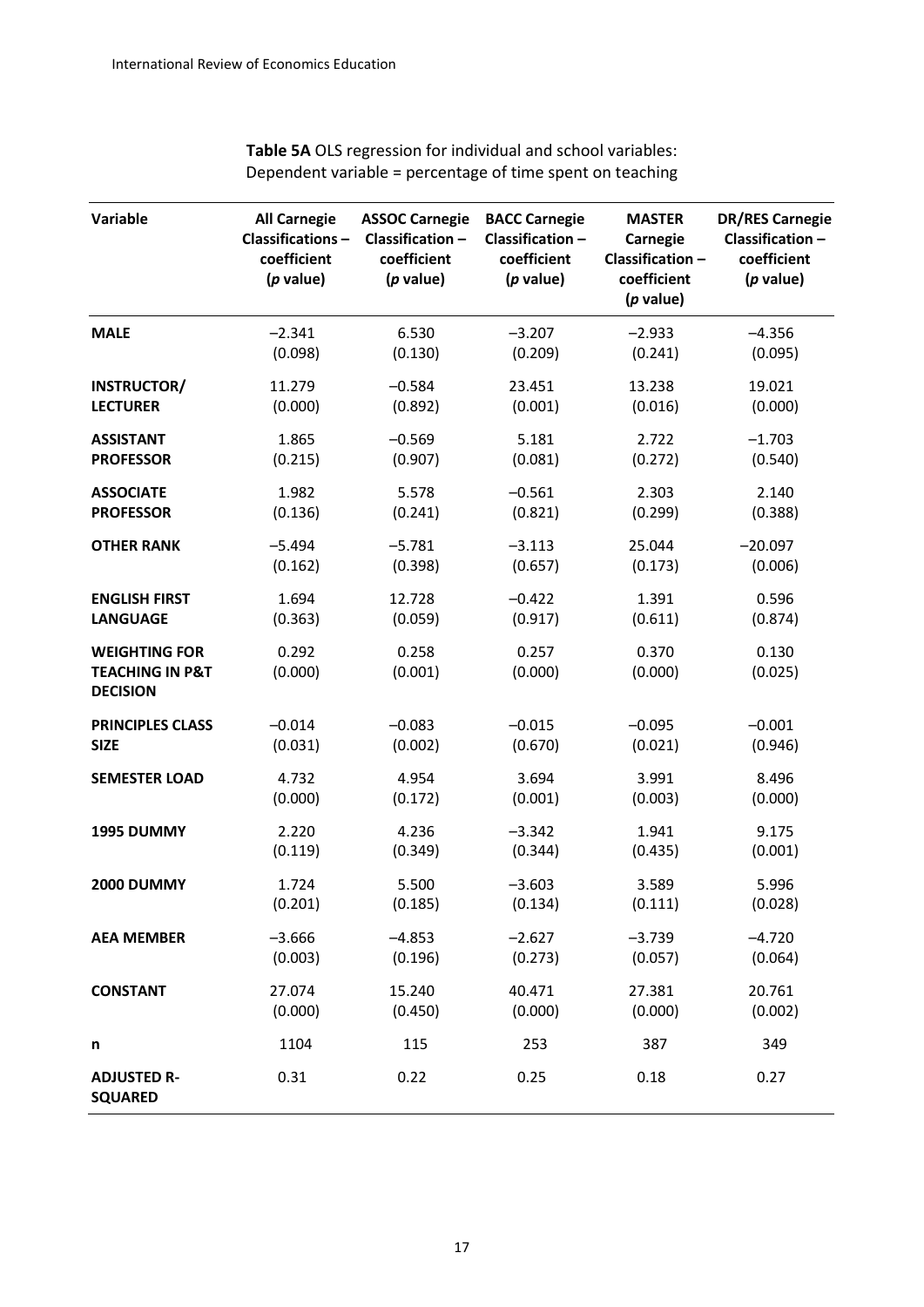| Variable                                                              | <b>All Carnegie</b><br>Classifications-<br>coefficient<br>$(p$ value) | <b>ASSOC Carnegie</b><br>Classification-<br>coefficient<br>(p value) | <b>BACC Carnegie</b><br>Classification-<br>coefficient<br>$(p$ value) | <b>MASTER</b><br>Carnegie<br>Classification-<br>coefficient<br>$(p$ value) | <b>DR/RES Carnegie</b><br>Classification-<br>coefficient<br>(p value) |
|-----------------------------------------------------------------------|-----------------------------------------------------------------------|----------------------------------------------------------------------|-----------------------------------------------------------------------|----------------------------------------------------------------------------|-----------------------------------------------------------------------|
| <b>MALE</b>                                                           | $-2.341$                                                              | 6.530                                                                | $-3.207$                                                              | $-2.933$                                                                   | $-4.356$                                                              |
|                                                                       | (0.098)                                                               | (0.130)                                                              | (0.209)                                                               | (0.241)                                                                    | (0.095)                                                               |
| INSTRUCTOR/                                                           | 11.279                                                                | $-0.584$                                                             | 23.451                                                                | 13.238                                                                     | 19.021                                                                |
| <b>LECTURER</b>                                                       | (0.000)                                                               | (0.892)                                                              | (0.001)                                                               | (0.016)                                                                    | (0.000)                                                               |
| <b>ASSISTANT</b>                                                      | 1.865                                                                 | $-0.569$                                                             | 5.181                                                                 | 2.722                                                                      | $-1.703$                                                              |
| <b>PROFESSOR</b>                                                      | (0.215)                                                               | (0.907)                                                              | (0.081)                                                               | (0.272)                                                                    | (0.540)                                                               |
| <b>ASSOCIATE</b>                                                      | 1.982                                                                 | 5.578                                                                | $-0.561$                                                              | 2.303                                                                      | 2.140                                                                 |
| <b>PROFESSOR</b>                                                      | (0.136)                                                               | (0.241)                                                              | (0.821)                                                               | (0.299)                                                                    | (0.388)                                                               |
| <b>OTHER RANK</b>                                                     | $-5.494$                                                              | $-5.781$                                                             | $-3.113$                                                              | 25.044                                                                     | $-20.097$                                                             |
|                                                                       | (0.162)                                                               | (0.398)                                                              | (0.657)                                                               | (0.173)                                                                    | (0.006)                                                               |
| <b>ENGLISH FIRST</b>                                                  | 1.694                                                                 | 12.728                                                               | $-0.422$                                                              | 1.391                                                                      | 0.596                                                                 |
| <b>LANGUAGE</b>                                                       | (0.363)                                                               | (0.059)                                                              | (0.917)                                                               | (0.611)                                                                    | (0.874)                                                               |
| <b>WEIGHTING FOR</b><br><b>TEACHING IN P&amp;T</b><br><b>DECISION</b> | 0.292<br>(0.000)                                                      | 0.258<br>(0.001)                                                     | 0.257<br>(0.000)                                                      | 0.370<br>(0.000)                                                           | 0.130<br>(0.025)                                                      |
| <b>PRINCIPLES CLASS</b>                                               | $-0.014$                                                              | $-0.083$                                                             | $-0.015$                                                              | $-0.095$                                                                   | $-0.001$                                                              |
| <b>SIZE</b>                                                           | (0.031)                                                               | (0.002)                                                              | (0.670)                                                               | (0.021)                                                                    | (0.946)                                                               |
| <b>SEMESTER LOAD</b>                                                  | 4.732                                                                 | 4.954                                                                | 3.694                                                                 | 3.991                                                                      | 8.496                                                                 |
|                                                                       | (0.000)                                                               | (0.172)                                                              | (0.001)                                                               | (0.003)                                                                    | (0.000)                                                               |
| 1995 DUMMY                                                            | 2.220                                                                 | 4.236                                                                | $-3.342$                                                              | 1.941                                                                      | 9.175                                                                 |
|                                                                       | (0.119)                                                               | (0.349)                                                              | (0.344)                                                               | (0.435)                                                                    | (0.001)                                                               |
| <b>2000 DUMMY</b>                                                     | 1.724                                                                 | 5.500                                                                | $-3.603$                                                              | 3.589                                                                      | 5.996                                                                 |
|                                                                       | (0.201)                                                               | (0.185)                                                              | (0.134)                                                               | (0.111)                                                                    | (0.028)                                                               |
| <b>AEA MEMBER</b>                                                     | $-3.666$                                                              | $-4.853$                                                             | $-2.627$                                                              | $-3.739$                                                                   | $-4.720$                                                              |
|                                                                       | (0.003)                                                               | (0.196)                                                              | (0.273)                                                               | (0.057)                                                                    | (0.064)                                                               |
| <b>CONSTANT</b>                                                       | 27.074                                                                | 15.240                                                               | 40.471                                                                | 27.381                                                                     | 20.761                                                                |
|                                                                       | (0.000)                                                               | (0.450)                                                              | (0.000)                                                               | (0.000)                                                                    | (0.002)                                                               |
| n                                                                     | 1104                                                                  | 115                                                                  | 253                                                                   | 387                                                                        | 349                                                                   |
| <b>ADJUSTED R-</b><br><b>SQUARED</b>                                  | 0.31                                                                  | 0.22                                                                 | 0.25                                                                  | 0.18                                                                       | 0.27                                                                  |

**Table 5A** OLS regression for individual and school variables: Dependent variable = percentage of time spent on teaching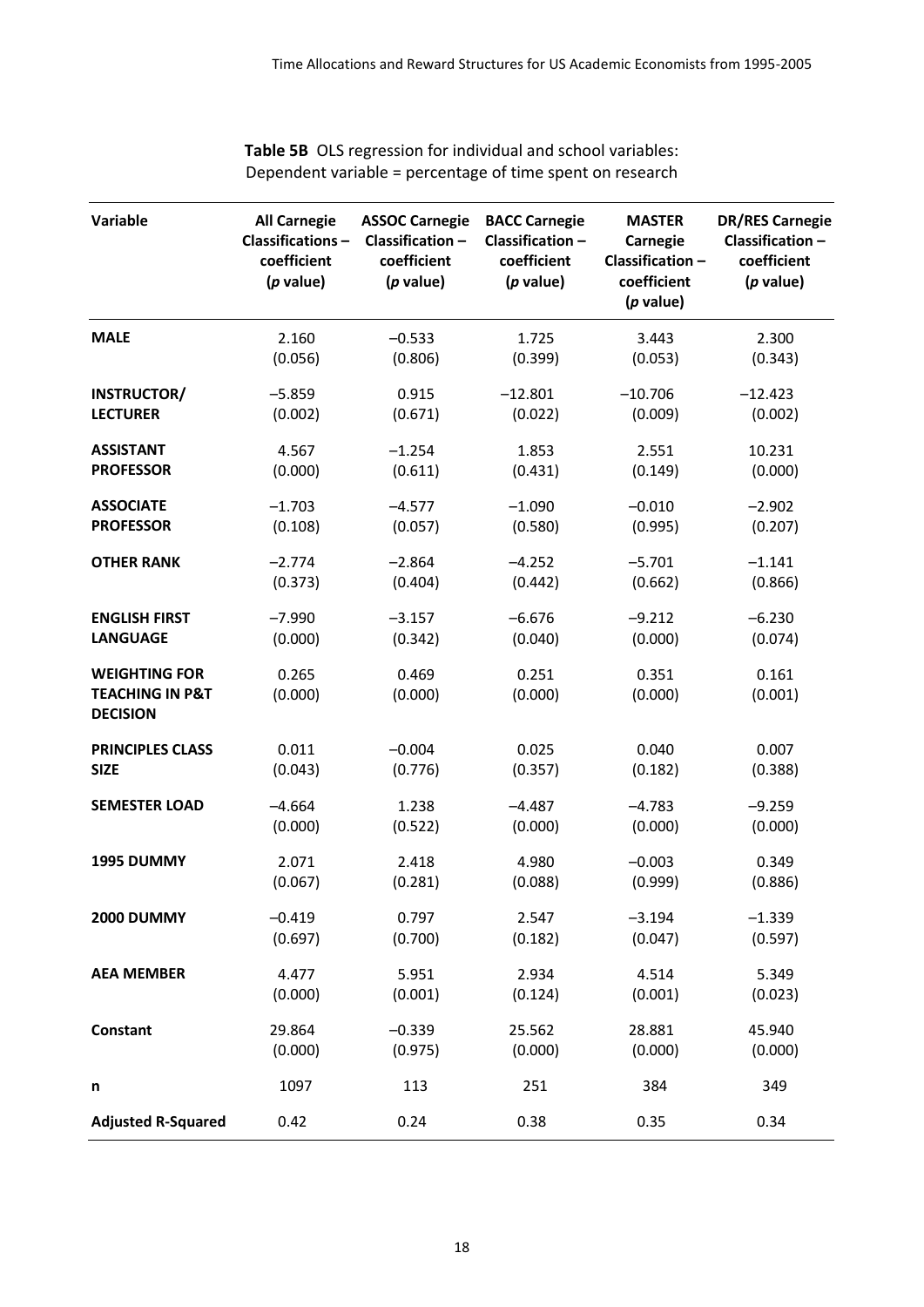| Variable                                                              | <b>All Carnegie</b><br>Classifications-<br>coefficient<br>(p value) | <b>ASSOC Carnegie</b><br>Classification-<br>coefficient<br>(p value) | <b>BACC Carnegie</b><br>Classification-<br>coefficient<br>(p value) | <b>MASTER</b><br>Carnegie<br>Classification-<br>coefficient<br>(p value) | <b>DR/RES Carnegie</b><br>Classification-<br>coefficient<br>(p value) |
|-----------------------------------------------------------------------|---------------------------------------------------------------------|----------------------------------------------------------------------|---------------------------------------------------------------------|--------------------------------------------------------------------------|-----------------------------------------------------------------------|
| <b>MALE</b>                                                           | 2.160                                                               | $-0.533$                                                             | 1.725                                                               | 3.443                                                                    | 2.300                                                                 |
|                                                                       | (0.056)                                                             | (0.806)                                                              | (0.399)                                                             | (0.053)                                                                  | (0.343)                                                               |
| INSTRUCTOR/                                                           | $-5.859$                                                            | 0.915                                                                | $-12.801$                                                           | $-10.706$                                                                | $-12.423$                                                             |
| <b>LECTURER</b>                                                       | (0.002)                                                             | (0.671)                                                              | (0.022)                                                             | (0.009)                                                                  | (0.002)                                                               |
| <b>ASSISTANT</b>                                                      | 4.567                                                               | $-1.254$                                                             | 1.853                                                               | 2.551                                                                    | 10.231                                                                |
| <b>PROFESSOR</b>                                                      | (0.000)                                                             | (0.611)                                                              | (0.431)                                                             | (0.149)                                                                  | (0.000)                                                               |
| <b>ASSOCIATE</b>                                                      | $-1.703$                                                            | $-4.577$                                                             | $-1.090$                                                            | $-0.010$                                                                 | $-2.902$                                                              |
| <b>PROFESSOR</b>                                                      | (0.108)                                                             | (0.057)                                                              | (0.580)                                                             | (0.995)                                                                  | (0.207)                                                               |
| <b>OTHER RANK</b>                                                     | $-2.774$                                                            | $-2.864$                                                             | $-4.252$                                                            | $-5.701$                                                                 | $-1.141$                                                              |
|                                                                       | (0.373)                                                             | (0.404)                                                              | (0.442)                                                             | (0.662)                                                                  | (0.866)                                                               |
| <b>ENGLISH FIRST</b>                                                  | $-7.990$                                                            | $-3.157$                                                             | $-6.676$                                                            | $-9.212$                                                                 | $-6.230$                                                              |
| <b>LANGUAGE</b>                                                       | (0.000)                                                             | (0.342)                                                              | (0.040)                                                             | (0.000)                                                                  | (0.074)                                                               |
| <b>WEIGHTING FOR</b><br><b>TEACHING IN P&amp;T</b><br><b>DECISION</b> | 0.265<br>(0.000)                                                    | 0.469<br>(0.000)                                                     | 0.251<br>(0.000)                                                    | 0.351<br>(0.000)                                                         | 0.161<br>(0.001)                                                      |
| <b>PRINCIPLES CLASS</b>                                               | 0.011                                                               | $-0.004$                                                             | 0.025                                                               | 0.040                                                                    | 0.007                                                                 |
| <b>SIZE</b>                                                           | (0.043)                                                             | (0.776)                                                              | (0.357)                                                             | (0.182)                                                                  | (0.388)                                                               |
| <b>SEMESTER LOAD</b>                                                  | $-4.664$                                                            | 1.238                                                                | $-4.487$                                                            | $-4.783$                                                                 | $-9.259$                                                              |
|                                                                       | (0.000)                                                             | (0.522)                                                              | (0.000)                                                             | (0.000)                                                                  | (0.000)                                                               |
| 1995 DUMMY                                                            | 2.071                                                               | 2.418                                                                | 4.980                                                               | $-0.003$                                                                 | 0.349                                                                 |
|                                                                       | (0.067)                                                             | (0.281)                                                              | (0.088)                                                             | (0.999)                                                                  | (0.886)                                                               |
| <b>2000 DUMMY</b>                                                     | $-0.419$                                                            | 0.797                                                                | 2.547                                                               | $-3.194$                                                                 | $-1.339$                                                              |
|                                                                       | (0.697)                                                             | (0.700)                                                              | (0.182)                                                             | (0.047)                                                                  | (0.597)                                                               |
| <b>AEA MEMBER</b>                                                     | 4.477                                                               | 5.951                                                                | 2.934                                                               | 4.514                                                                    | 5.349                                                                 |
|                                                                       | (0.000)                                                             | (0.001)                                                              | (0.124)                                                             | (0.001)                                                                  | (0.023)                                                               |
| Constant                                                              | 29.864                                                              | $-0.339$                                                             | 25.562                                                              | 28.881                                                                   | 45.940                                                                |
|                                                                       | (0.000)                                                             | (0.975)                                                              | (0.000)                                                             | (0.000)                                                                  | (0.000)                                                               |
| n                                                                     | 1097                                                                | 113                                                                  | 251                                                                 | 384                                                                      | 349                                                                   |
| <b>Adjusted R-Squared</b>                                             | 0.42                                                                | 0.24                                                                 | 0.38                                                                | 0.35                                                                     | 0.34                                                                  |

**Table 5B** OLS regression for individual and school variables: Dependent variable = percentage of time spent on research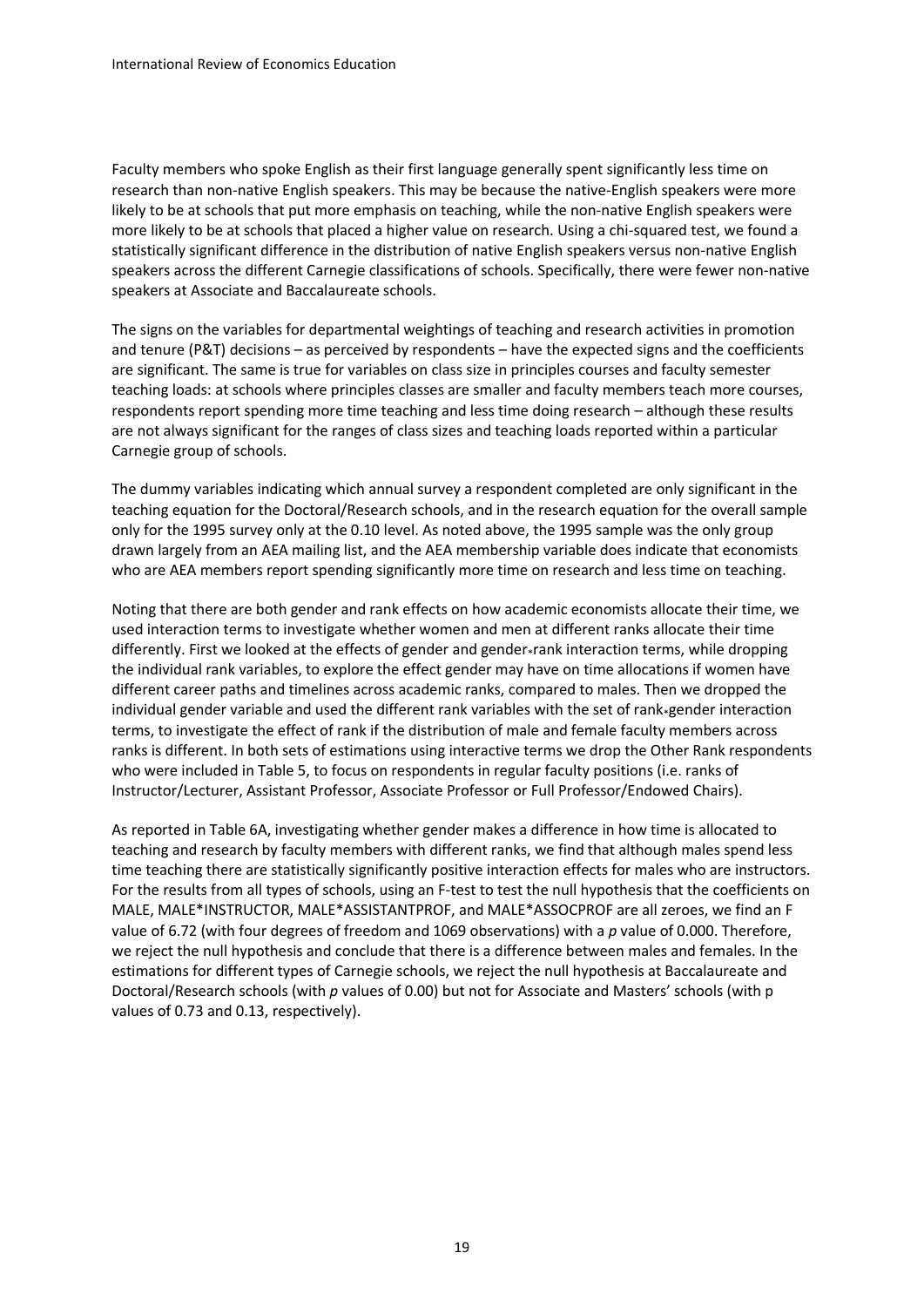Faculty members who spoke English as their first language generally spent significantly less time on research than non-native English speakers. This may be because the native-English speakers were more likely to be at schools that put more emphasis on teaching, while the non-native English speakers were more likely to be at schools that placed a higher value on research. Using a chi-squared test, we found a statistically significant difference in the distribution of native English speakers versus non-native English speakers across the different Carnegie classifications of schools. Specifically, there were fewer non-native speakers at Associate and Baccalaureate schools.

The signs on the variables for departmental weightings of teaching and research activities in promotion and tenure (P&T) decisions – as perceived by respondents – have the expected signs and the coefficients are significant. The same is true for variables on class size in principles courses and faculty semester teaching loads: at schools where principles classes are smaller and faculty members teach more courses, respondents report spending more time teaching and less time doing research – although these results are not always significant for the ranges of class sizes and teaching loads reported within a particular Carnegie group of schools.

The dummy variables indicating which annual survey a respondent completed are only significant in the teaching equation for the Doctoral/Research schools, and in the research equation for the overall sample only for the 1995 survey only at the 0.10 level. As noted above, the 1995 sample was the only group drawn largely from an AEA mailing list, and the AEA membership variable does indicate that economists who are AEA members report spending significantly more time on research and less time on teaching.

Noting that there are both gender and rank effects on how academic economists allocate their time, we used interaction terms to investigate whether women and men at different ranks allocate their time differently. First we looked at the effects of gender and gender\*rank interaction terms, while dropping the individual rank variables, to explore the effect gender may have on time allocations if women have different career paths and timelines across academic ranks, compared to males. Then we dropped the individual gender variable and used the different rank variables with the set of rank\*gender interaction terms, to investigate the effect of rank if the distribution of male and female faculty members across ranks is different. In both sets of estimations using interactive terms we drop the Other Rank respondents who were included in Table 5, to focus on respondents in regular faculty positions (i.e. ranks of Instructor/Lecturer, Assistant Professor, Associate Professor or Full Professor/Endowed Chairs).

As reported in Table 6A, investigating whether gender makes a difference in how time is allocated to teaching and research by faculty members with different ranks, we find that although males spend less time teaching there are statistically significantly positive interaction effects for males who are instructors. For the results from all types of schools, using an F-test to test the null hypothesis that the coefficients on MALE, MALE\*INSTRUCTOR, MALE\*ASSISTANTPROF, and MALE\*ASSOCPROF are all zeroes, we find an F value of 6.72 (with four degrees of freedom and 1069 observations) with a *p* value of 0.000. Therefore, we reject the null hypothesis and conclude that there is a difference between males and females. In the estimations for different types of Carnegie schools, we reject the null hypothesis at Baccalaureate and Doctoral/Research schools (with *p* values of 0.00) but not for Associate and Masters' schools (with p values of 0.73 and 0.13, respectively).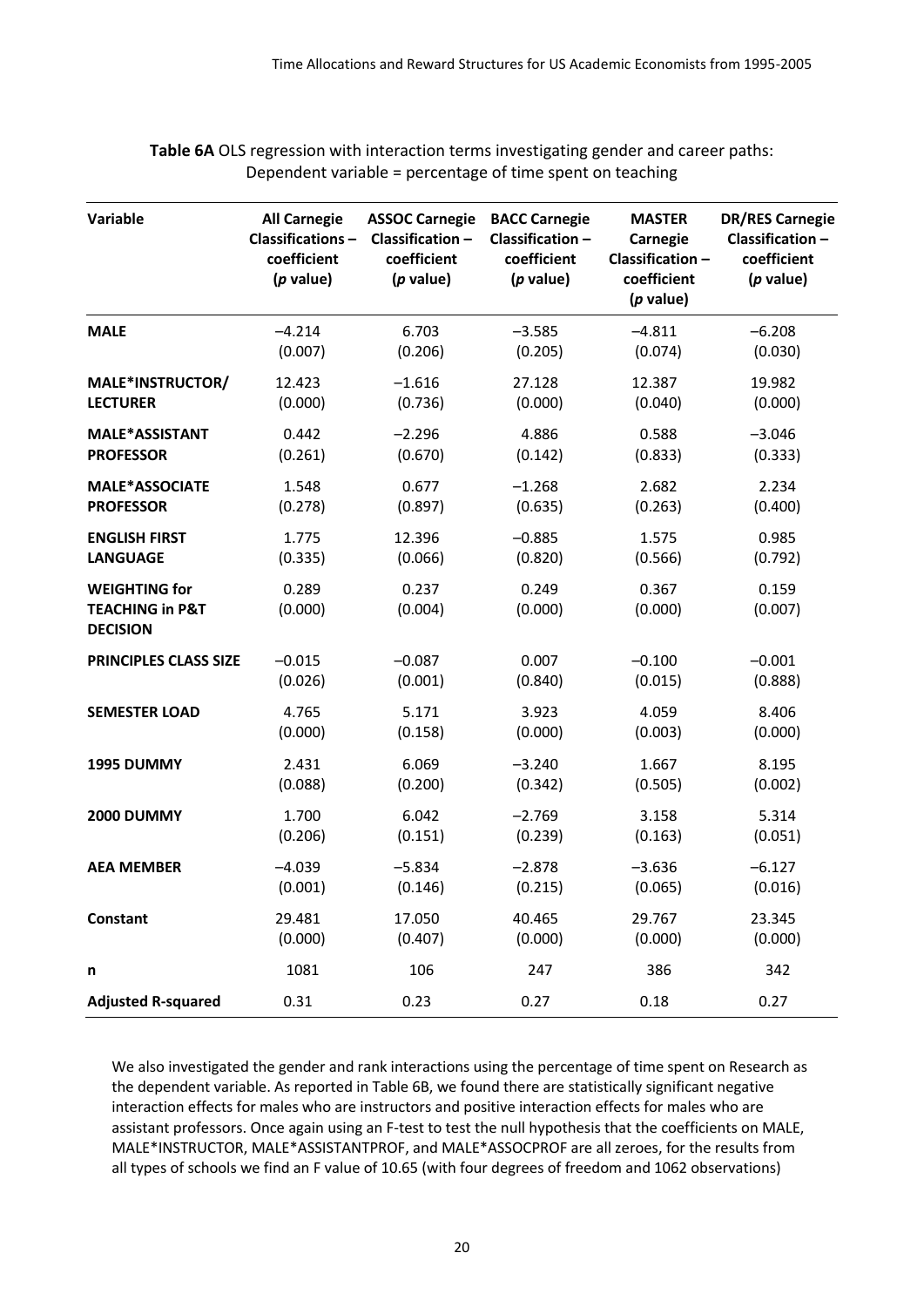| Variable                                                              | <b>All Carnegie</b><br>Classifications-<br>coefficient<br>$(p$ value) | <b>ASSOC Carnegie</b><br>Classification-<br>coefficient<br>$(p$ value) | <b>BACC Carnegie</b><br>Classification-<br>coefficient<br>$(p$ value) | <b>MASTER</b><br>Carnegie<br>Classification-<br>coefficient<br>$(p$ value) | <b>DR/RES Carnegie</b><br>Classification-<br>coefficient<br>$(p$ value) |
|-----------------------------------------------------------------------|-----------------------------------------------------------------------|------------------------------------------------------------------------|-----------------------------------------------------------------------|----------------------------------------------------------------------------|-------------------------------------------------------------------------|
| <b>MALE</b>                                                           | $-4.214$                                                              | 6.703                                                                  | $-3.585$                                                              | $-4.811$                                                                   | $-6.208$                                                                |
|                                                                       | (0.007)                                                               | (0.206)                                                                | (0.205)                                                               | (0.074)                                                                    | (0.030)                                                                 |
| MALE*INSTRUCTOR/                                                      | 12.423                                                                | $-1.616$                                                               | 27.128                                                                | 12.387                                                                     | 19.982                                                                  |
| <b>LECTURER</b>                                                       | (0.000)                                                               | (0.736)                                                                | (0.000)                                                               | (0.040)                                                                    | (0.000)                                                                 |
| <b>MALE*ASSISTANT</b>                                                 | 0.442                                                                 | $-2.296$                                                               | 4.886                                                                 | 0.588                                                                      | $-3.046$                                                                |
| <b>PROFESSOR</b>                                                      | (0.261)                                                               | (0.670)                                                                | (0.142)                                                               | (0.833)                                                                    | (0.333)                                                                 |
| <b>MALE*ASSOCIATE</b>                                                 | 1.548                                                                 | 0.677                                                                  | $-1.268$                                                              | 2.682                                                                      | 2.234                                                                   |
| <b>PROFESSOR</b>                                                      | (0.278)                                                               | (0.897)                                                                | (0.635)                                                               | (0.263)                                                                    | (0.400)                                                                 |
| <b>ENGLISH FIRST</b>                                                  | 1.775                                                                 | 12.396                                                                 | $-0.885$                                                              | 1.575                                                                      | 0.985                                                                   |
| <b>LANGUAGE</b>                                                       | (0.335)                                                               | (0.066)                                                                | (0.820)                                                               | (0.566)                                                                    | (0.792)                                                                 |
| <b>WEIGHTING for</b><br><b>TEACHING in P&amp;T</b><br><b>DECISION</b> | 0.289<br>(0.000)                                                      | 0.237<br>(0.004)                                                       | 0.249<br>(0.000)                                                      | 0.367<br>(0.000)                                                           | 0.159<br>(0.007)                                                        |
| PRINCIPLES CLASS SIZE                                                 | $-0.015$                                                              | $-0.087$                                                               | 0.007                                                                 | $-0.100$                                                                   | $-0.001$                                                                |
|                                                                       | (0.026)                                                               | (0.001)                                                                | (0.840)                                                               | (0.015)                                                                    | (0.888)                                                                 |
| <b>SEMESTER LOAD</b>                                                  | 4.765                                                                 | 5.171                                                                  | 3.923                                                                 | 4.059                                                                      | 8.406                                                                   |
|                                                                       | (0.000)                                                               | (0.158)                                                                | (0.000)                                                               | (0.003)                                                                    | (0.000)                                                                 |
| 1995 DUMMY                                                            | 2.431                                                                 | 6.069                                                                  | $-3.240$                                                              | 1.667                                                                      | 8.195                                                                   |
|                                                                       | (0.088)                                                               | (0.200)                                                                | (0.342)                                                               | (0.505)                                                                    | (0.002)                                                                 |
| <b>2000 DUMMY</b>                                                     | 1.700                                                                 | 6.042                                                                  | $-2.769$                                                              | 3.158                                                                      | 5.314                                                                   |
|                                                                       | (0.206)                                                               | (0.151)                                                                | (0.239)                                                               | (0.163)                                                                    | (0.051)                                                                 |
| <b>AEA MEMBER</b>                                                     | $-4.039$                                                              | $-5.834$                                                               | $-2.878$                                                              | $-3.636$                                                                   | $-6.127$                                                                |
|                                                                       | (0.001)                                                               | (0.146)                                                                | (0.215)                                                               | (0.065)                                                                    | (0.016)                                                                 |
| <b>Constant</b>                                                       | 29.481                                                                | 17.050                                                                 | 40.465                                                                | 29.767                                                                     | 23.345                                                                  |
|                                                                       | (0.000)                                                               | (0.407)                                                                | (0.000)                                                               | (0.000)                                                                    | (0.000)                                                                 |
| n                                                                     | 1081                                                                  | 106                                                                    | 247                                                                   | 386                                                                        | 342                                                                     |
| <b>Adjusted R-squared</b>                                             | 0.31                                                                  | 0.23                                                                   | 0.27                                                                  | 0.18                                                                       | 0.27                                                                    |

**Table 6A** OLS regression with interaction terms investigating gender and career paths: Dependent variable = percentage of time spent on teaching

We also investigated the gender and rank interactions using the percentage of time spent on Research as the dependent variable. As reported in Table 6B, we found there are statistically significant negative interaction effects for males who are instructors and positive interaction effects for males who are assistant professors. Once again using an F-test to test the null hypothesis that the coefficients on MALE, MALE\*INSTRUCTOR, MALE\*ASSISTANTPROF, and MALE\*ASSOCPROF are all zeroes, for the results from all types of schools we find an F value of 10.65 (with four degrees of freedom and 1062 observations)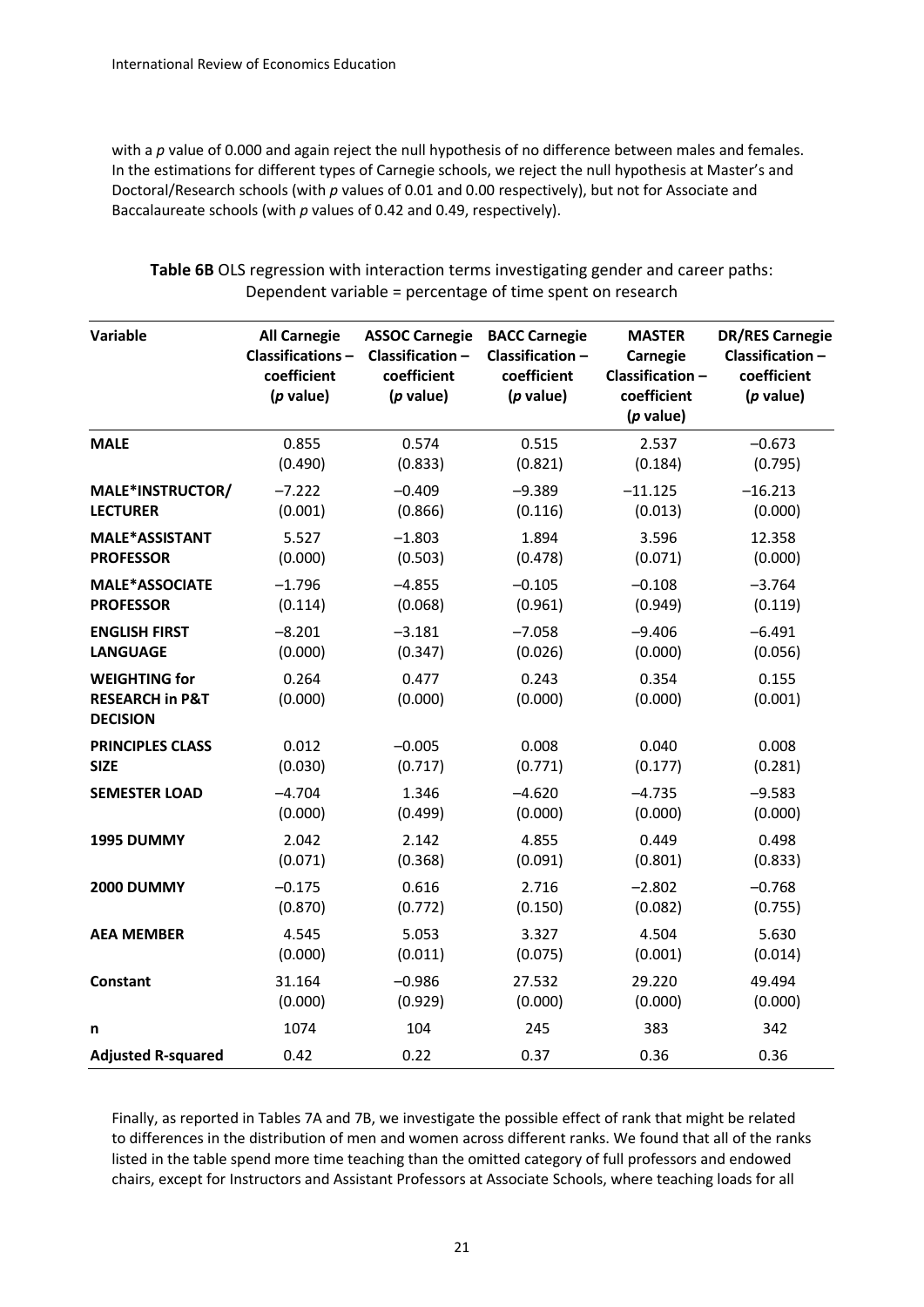with a p value of 0.000 and again reject the null hypothesis of no difference between males and females. In the estimations for different types of Carnegie schools, we reject the null hypothesis at Master's and Doctoral/Research schools (with *p* values of 0.01 and 0.00 respectively), but not for Associate and Baccalaureate schools (with *p* values of 0.42 and 0.49, respectively).

| Variable                                                              | <b>All Carnegie</b><br>Classifications-<br>coefficient<br>$(p$ value) | <b>ASSOC Carnegie</b><br>Classification-<br>coefficient<br>$(p$ value) | <b>BACC Carnegie</b><br>Classification-<br>coefficient<br>$(p$ value) | <b>MASTER</b><br>Carnegie<br>Classification-<br>coefficient<br>(p value) | <b>DR/RES Carnegie</b><br>Classification-<br>coefficient<br>$(p$ value) |
|-----------------------------------------------------------------------|-----------------------------------------------------------------------|------------------------------------------------------------------------|-----------------------------------------------------------------------|--------------------------------------------------------------------------|-------------------------------------------------------------------------|
| <b>MALE</b>                                                           | 0.855                                                                 | 0.574                                                                  | 0.515                                                                 | 2.537                                                                    | $-0.673$                                                                |
|                                                                       | (0.490)                                                               | (0.833)                                                                | (0.821)                                                               | (0.184)                                                                  | (0.795)                                                                 |
| MALE*INSTRUCTOR/                                                      | $-7.222$                                                              | $-0.409$                                                               | $-9.389$                                                              | $-11.125$                                                                | $-16.213$                                                               |
| <b>LECTURER</b>                                                       | (0.001)                                                               | (0.866)                                                                | (0.116)                                                               | (0.013)                                                                  | (0.000)                                                                 |
| <b>MALE*ASSISTANT</b>                                                 | 5.527                                                                 | $-1.803$                                                               | 1.894                                                                 | 3.596                                                                    | 12.358                                                                  |
| <b>PROFESSOR</b>                                                      | (0.000)                                                               | (0.503)                                                                | (0.478)                                                               | (0.071)                                                                  | (0.000)                                                                 |
| <b>MALE*ASSOCIATE</b>                                                 | $-1.796$                                                              | $-4.855$                                                               | $-0.105$                                                              | $-0.108$                                                                 | $-3.764$                                                                |
| <b>PROFESSOR</b>                                                      | (0.114)                                                               | (0.068)                                                                | (0.961)                                                               | (0.949)                                                                  | (0.119)                                                                 |
| <b>ENGLISH FIRST</b>                                                  | $-8.201$                                                              | $-3.181$                                                               | $-7.058$                                                              | $-9.406$                                                                 | $-6.491$                                                                |
| <b>LANGUAGE</b>                                                       | (0.000)                                                               | (0.347)                                                                | (0.026)                                                               | (0.000)                                                                  | (0.056)                                                                 |
| <b>WEIGHTING for</b><br><b>RESEARCH in P&amp;T</b><br><b>DECISION</b> | 0.264<br>(0.000)                                                      | 0.477<br>(0.000)                                                       | 0.243<br>(0.000)                                                      | 0.354<br>(0.000)                                                         | 0.155<br>(0.001)                                                        |
| <b>PRINCIPLES CLASS</b>                                               | 0.012                                                                 | $-0.005$                                                               | 0.008                                                                 | 0.040                                                                    | 0.008                                                                   |
| <b>SIZE</b>                                                           | (0.030)                                                               | (0.717)                                                                | (0.771)                                                               | (0.177)                                                                  | (0.281)                                                                 |
| <b>SEMESTER LOAD</b>                                                  | $-4.704$                                                              | 1.346                                                                  | $-4.620$                                                              | $-4.735$                                                                 | $-9.583$                                                                |
|                                                                       | (0.000)                                                               | (0.499)                                                                | (0.000)                                                               | (0.000)                                                                  | (0.000)                                                                 |
| 1995 DUMMY                                                            | 2.042                                                                 | 2.142                                                                  | 4.855                                                                 | 0.449                                                                    | 0.498                                                                   |
|                                                                       | (0.071)                                                               | (0.368)                                                                | (0.091)                                                               | (0.801)                                                                  | (0.833)                                                                 |
| <b>2000 DUMMY</b>                                                     | $-0.175$                                                              | 0.616                                                                  | 2.716                                                                 | $-2.802$                                                                 | $-0.768$                                                                |
|                                                                       | (0.870)                                                               | (0.772)                                                                | (0.150)                                                               | (0.082)                                                                  | (0.755)                                                                 |
| <b>AEA MEMBER</b>                                                     | 4.545                                                                 | 5.053                                                                  | 3.327                                                                 | 4.504                                                                    | 5.630                                                                   |
|                                                                       | (0.000)                                                               | (0.011)                                                                | (0.075)                                                               | (0.001)                                                                  | (0.014)                                                                 |
| <b>Constant</b>                                                       | 31.164                                                                | $-0.986$                                                               | 27.532                                                                | 29.220                                                                   | 49.494                                                                  |
|                                                                       | (0.000)                                                               | (0.929)                                                                | (0.000)                                                               | (0.000)                                                                  | (0.000)                                                                 |
| n                                                                     | 1074                                                                  | 104                                                                    | 245                                                                   | 383                                                                      | 342                                                                     |
| <b>Adjusted R-squared</b>                                             | 0.42                                                                  | 0.22                                                                   | 0.37                                                                  | 0.36                                                                     | 0.36                                                                    |

**Table 6B** OLS regression with interaction terms investigating gender and career paths: Dependent variable = percentage of time spent on research

Finally, as reported in Tables 7A and 7B, we investigate the possible effect of rank that might be related to differences in the distribution of men and women across different ranks. We found that all of the ranks listed in the table spend more time teaching than the omitted category of full professors and endowed chairs, except for Instructors and Assistant Professors at Associate Schools, where teaching loads for all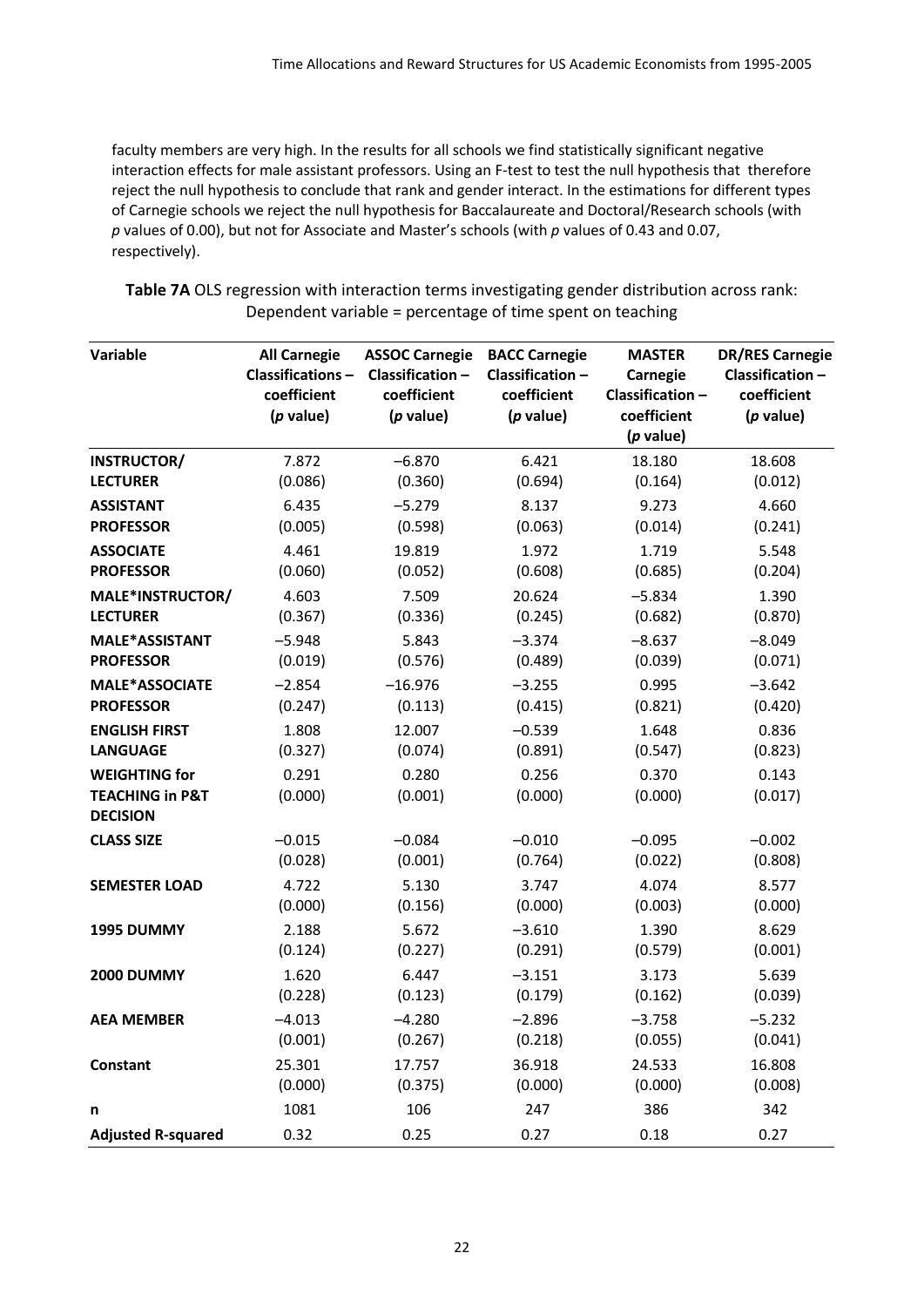faculty members are very high. In the results for all schools we find statistically significant negative interaction effects for male assistant professors. Using an F-test to test the null hypothesis that therefore reject the null hypothesis to conclude that rank and gender interact. In the estimations for different types of Carnegie schools we reject the null hypothesis for Baccalaureate and Doctoral/Research schools (with *p* values of 0.00), but not for Associate and Master's schools (with *p* values of 0.43 and 0.07, respectively).

| <b>Variable</b>                                                       | <b>All Carnegie</b><br>Classifications-<br>coefficient<br>$(p$ value) | <b>ASSOC Carnegie</b><br>Classification-<br>coefficient<br>$(p$ value) | <b>BACC Carnegie</b><br>Classification-<br>coefficient<br>$(p$ value) | <b>MASTER</b><br>Carnegie<br>Classification-<br>coefficient<br>$(p$ value) | <b>DR/RES Carnegie</b><br>Classification-<br>coefficient<br>$(p$ value) |
|-----------------------------------------------------------------------|-----------------------------------------------------------------------|------------------------------------------------------------------------|-----------------------------------------------------------------------|----------------------------------------------------------------------------|-------------------------------------------------------------------------|
| INSTRUCTOR/                                                           | 7.872                                                                 | $-6.870$                                                               | 6.421                                                                 | 18.180                                                                     | 18.608                                                                  |
| <b>LECTURER</b>                                                       | (0.086)                                                               | (0.360)                                                                | (0.694)                                                               | (0.164)                                                                    | (0.012)                                                                 |
| <b>ASSISTANT</b>                                                      | 6.435                                                                 | $-5.279$                                                               | 8.137                                                                 | 9.273                                                                      | 4.660                                                                   |
| <b>PROFESSOR</b>                                                      | (0.005)                                                               | (0.598)                                                                | (0.063)                                                               | (0.014)                                                                    | (0.241)                                                                 |
| <b>ASSOCIATE</b>                                                      | 4.461                                                                 | 19.819                                                                 | 1.972                                                                 | 1.719                                                                      | 5.548                                                                   |
| <b>PROFESSOR</b>                                                      | (0.060)                                                               | (0.052)                                                                | (0.608)                                                               | (0.685)                                                                    | (0.204)                                                                 |
| MALE*INSTRUCTOR/                                                      | 4.603                                                                 | 7.509                                                                  | 20.624                                                                | $-5.834$                                                                   | 1.390                                                                   |
| <b>LECTURER</b>                                                       | (0.367)                                                               | (0.336)                                                                | (0.245)                                                               | (0.682)                                                                    | (0.870)                                                                 |
| <b>MALE*ASSISTANT</b>                                                 | $-5.948$                                                              | 5.843                                                                  | $-3.374$                                                              | $-8.637$                                                                   | $-8.049$                                                                |
| <b>PROFESSOR</b>                                                      | (0.019)                                                               | (0.576)                                                                | (0.489)                                                               | (0.039)                                                                    | (0.071)                                                                 |
| <b>MALE*ASSOCIATE</b>                                                 | $-2.854$                                                              | $-16.976$                                                              | $-3.255$                                                              | 0.995                                                                      | $-3.642$                                                                |
| <b>PROFESSOR</b>                                                      | (0.247)                                                               | (0.113)                                                                | (0.415)                                                               | (0.821)                                                                    | (0.420)                                                                 |
| <b>ENGLISH FIRST</b>                                                  | 1.808                                                                 | 12.007                                                                 | $-0.539$                                                              | 1.648                                                                      | 0.836                                                                   |
| <b>LANGUAGE</b>                                                       | (0.327)                                                               | (0.074)                                                                | (0.891)                                                               | (0.547)                                                                    | (0.823)                                                                 |
| <b>WEIGHTING for</b><br><b>TEACHING in P&amp;T</b><br><b>DECISION</b> | 0.291<br>(0.000)                                                      | 0.280<br>(0.001)                                                       | 0.256<br>(0.000)                                                      | 0.370<br>(0.000)                                                           | 0.143<br>(0.017)                                                        |
| <b>CLASS SIZE</b>                                                     | $-0.015$                                                              | $-0.084$                                                               | $-0.010$                                                              | $-0.095$                                                                   | $-0.002$                                                                |
|                                                                       | (0.028)                                                               | (0.001)                                                                | (0.764)                                                               | (0.022)                                                                    | (0.808)                                                                 |
| <b>SEMESTER LOAD</b>                                                  | 4.722                                                                 | 5.130                                                                  | 3.747                                                                 | 4.074                                                                      | 8.577                                                                   |
|                                                                       | (0.000)                                                               | (0.156)                                                                | (0.000)                                                               | (0.003)                                                                    | (0.000)                                                                 |
| 1995 DUMMY                                                            | 2.188                                                                 | 5.672                                                                  | $-3.610$                                                              | 1.390                                                                      | 8.629                                                                   |
|                                                                       | (0.124)                                                               | (0.227)                                                                | (0.291)                                                               | (0.579)                                                                    | (0.001)                                                                 |
| <b>2000 DUMMY</b>                                                     | 1.620                                                                 | 6.447                                                                  | $-3.151$                                                              | 3.173                                                                      | 5.639                                                                   |
|                                                                       | (0.228)                                                               | (0.123)                                                                | (0.179)                                                               | (0.162)                                                                    | (0.039)                                                                 |
| <b>AEA MEMBER</b>                                                     | $-4.013$                                                              | $-4.280$                                                               | $-2.896$                                                              | $-3.758$                                                                   | $-5.232$                                                                |
|                                                                       | (0.001)                                                               | (0.267)                                                                | (0.218)                                                               | (0.055)                                                                    | (0.041)                                                                 |
| <b>Constant</b>                                                       | 25.301                                                                | 17.757                                                                 | 36.918                                                                | 24.533                                                                     | 16.808                                                                  |
|                                                                       | (0.000)                                                               | (0.375)                                                                | (0.000)                                                               | (0.000)                                                                    | (0.008)                                                                 |
| n                                                                     | 1081                                                                  | 106                                                                    | 247                                                                   | 386                                                                        | 342                                                                     |
| <b>Adjusted R-squared</b>                                             | 0.32                                                                  | 0.25                                                                   | 0.27                                                                  | 0.18                                                                       | 0.27                                                                    |

**Table 7A** OLS regression with interaction terms investigating gender distribution across rank: Dependent variable = percentage of time spent on teaching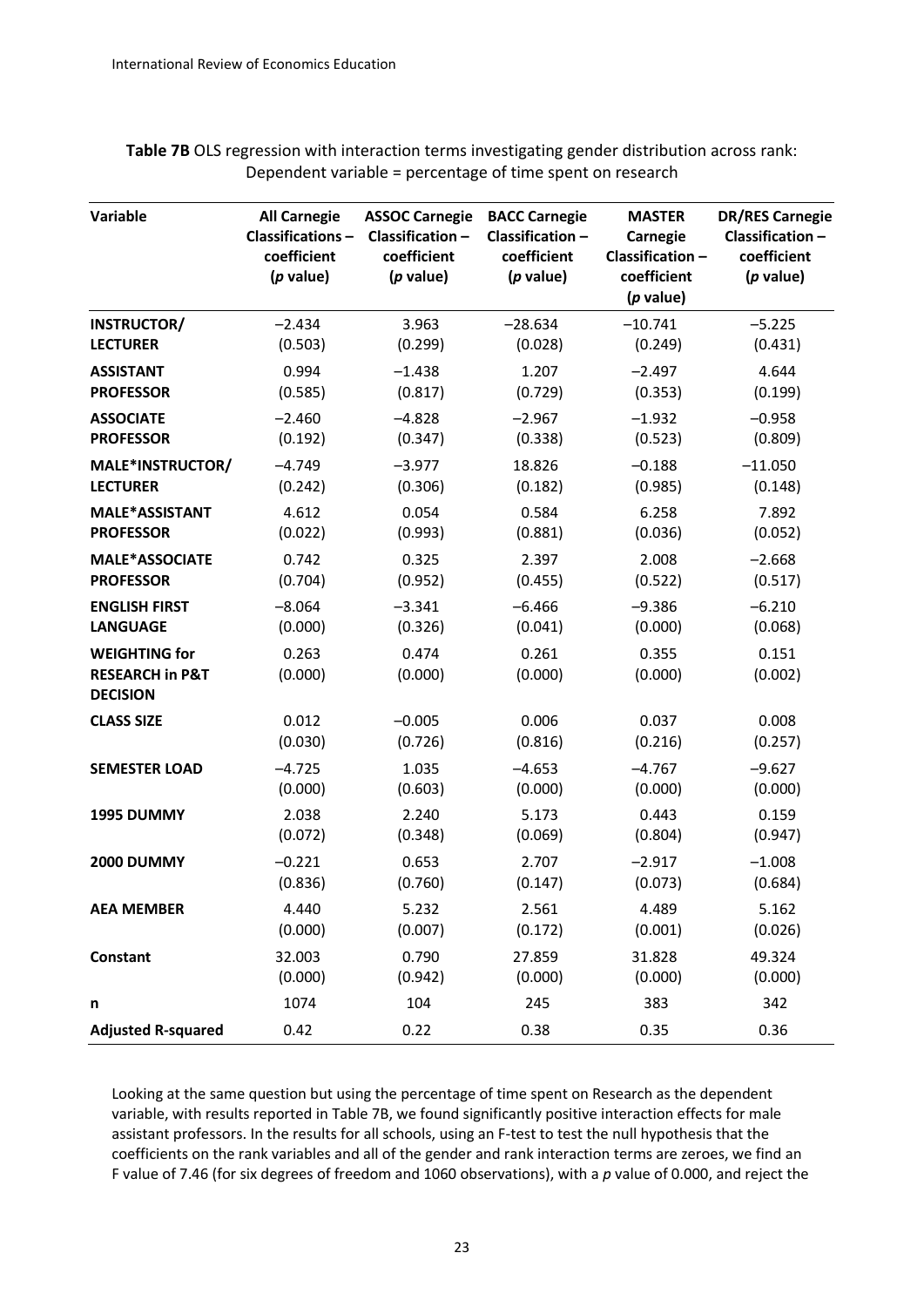**Table 7B** OLS regression with interaction terms investigating gender distribution across rank: Dependent variable = percentage of time spent on research

| Variable                                                              | <b>All Carnegie</b><br>Classifications-<br>coefficient<br>$(p$ value) | <b>ASSOC Carnegie</b><br>Classification-<br>coefficient<br>$(p$ value) | <b>BACC Carnegie</b><br>Classification-<br>coefficient<br>(p value) | <b>MASTER</b><br>Carnegie<br>Classification-<br>coefficient<br>$(p$ value) | <b>DR/RES Carnegie</b><br>Classification-<br>coefficient<br>$(p$ value) |
|-----------------------------------------------------------------------|-----------------------------------------------------------------------|------------------------------------------------------------------------|---------------------------------------------------------------------|----------------------------------------------------------------------------|-------------------------------------------------------------------------|
| INSTRUCTOR/                                                           | $-2.434$                                                              | 3.963                                                                  | $-28.634$                                                           | $-10.741$                                                                  | $-5.225$                                                                |
| <b>LECTURER</b>                                                       | (0.503)                                                               | (0.299)                                                                | (0.028)                                                             | (0.249)                                                                    | (0.431)                                                                 |
| <b>ASSISTANT</b>                                                      | 0.994                                                                 | $-1.438$                                                               | 1.207                                                               | $-2.497$                                                                   | 4.644                                                                   |
| <b>PROFESSOR</b>                                                      | (0.585)                                                               | (0.817)                                                                | (0.729)                                                             | (0.353)                                                                    | (0.199)                                                                 |
| <b>ASSOCIATE</b>                                                      | $-2.460$                                                              | $-4.828$                                                               | $-2.967$                                                            | $-1.932$                                                                   | $-0.958$                                                                |
| <b>PROFESSOR</b>                                                      | (0.192)                                                               | (0.347)                                                                | (0.338)                                                             | (0.523)                                                                    | (0.809)                                                                 |
| MALE*INSTRUCTOR/                                                      | $-4.749$                                                              | $-3.977$                                                               | 18.826                                                              | $-0.188$                                                                   | $-11.050$                                                               |
| <b>LECTURER</b>                                                       | (0.242)                                                               | (0.306)                                                                | (0.182)                                                             | (0.985)                                                                    | (0.148)                                                                 |
| <b>MALE*ASSISTANT</b>                                                 | 4.612                                                                 | 0.054                                                                  | 0.584                                                               | 6.258                                                                      | 7.892                                                                   |
| <b>PROFESSOR</b>                                                      | (0.022)                                                               | (0.993)                                                                | (0.881)                                                             | (0.036)                                                                    | (0.052)                                                                 |
| <b>MALE*ASSOCIATE</b>                                                 | 0.742                                                                 | 0.325                                                                  | 2.397                                                               | 2.008                                                                      | $-2.668$                                                                |
| <b>PROFESSOR</b>                                                      | (0.704)                                                               | (0.952)                                                                | (0.455)                                                             | (0.522)                                                                    | (0.517)                                                                 |
| <b>ENGLISH FIRST</b>                                                  | $-8.064$                                                              | $-3.341$                                                               | $-6.466$                                                            | $-9.386$                                                                   | $-6.210$                                                                |
| <b>LANGUAGE</b>                                                       | (0.000)                                                               | (0.326)                                                                | (0.041)                                                             | (0.000)                                                                    | (0.068)                                                                 |
| <b>WEIGHTING for</b><br><b>RESEARCH in P&amp;T</b><br><b>DECISION</b> | 0.263<br>(0.000)                                                      | 0.474<br>(0.000)                                                       | 0.261<br>(0.000)                                                    | 0.355<br>(0.000)                                                           | 0.151<br>(0.002)                                                        |
| <b>CLASS SIZE</b>                                                     | 0.012                                                                 | $-0.005$                                                               | 0.006                                                               | 0.037                                                                      | 0.008                                                                   |
|                                                                       | (0.030)                                                               | (0.726)                                                                | (0.816)                                                             | (0.216)                                                                    | (0.257)                                                                 |
| <b>SEMESTER LOAD</b>                                                  | $-4.725$                                                              | 1.035                                                                  | $-4.653$                                                            | $-4.767$                                                                   | $-9.627$                                                                |
|                                                                       | (0.000)                                                               | (0.603)                                                                | (0.000)                                                             | (0.000)                                                                    | (0.000)                                                                 |
| 1995 DUMMY                                                            | 2.038                                                                 | 2.240                                                                  | 5.173                                                               | 0.443                                                                      | 0.159                                                                   |
|                                                                       | (0.072)                                                               | (0.348)                                                                | (0.069)                                                             | (0.804)                                                                    | (0.947)                                                                 |
| 2000 DUMMY                                                            | $-0.221$                                                              | 0.653                                                                  | 2.707                                                               | $-2.917$                                                                   | $-1.008$                                                                |
|                                                                       | (0.836)                                                               | (0.760)                                                                | (0.147)                                                             | (0.073)                                                                    | (0.684)                                                                 |
| <b>AEA MEMBER</b>                                                     | 4.440                                                                 | 5.232                                                                  | 2.561                                                               | 4.489                                                                      | 5.162                                                                   |
|                                                                       | (0.000)                                                               | (0.007)                                                                | (0.172)                                                             | (0.001)                                                                    | (0.026)                                                                 |
| Constant                                                              | 32.003                                                                | 0.790                                                                  | 27.859                                                              | 31.828                                                                     | 49.324                                                                  |
|                                                                       | (0.000)                                                               | (0.942)                                                                | (0.000)                                                             | (0.000)                                                                    | (0.000)                                                                 |
| n                                                                     | 1074                                                                  | 104                                                                    | 245                                                                 | 383                                                                        | 342                                                                     |
| <b>Adjusted R-squared</b>                                             | 0.42                                                                  | 0.22                                                                   | 0.38                                                                | 0.35                                                                       | 0.36                                                                    |

Looking at the same question but using the percentage of time spent on Research as the dependent variable, with results reported in Table 7B, we found significantly positive interaction effects for male assistant professors. In the results for all schools, using an F-test to test the null hypothesis that the coefficients on the rank variables and all of the gender and rank interaction terms are zeroes, we find an F value of 7.46 (for six degrees of freedom and 1060 observations), with a *p* value of 0.000, and reject the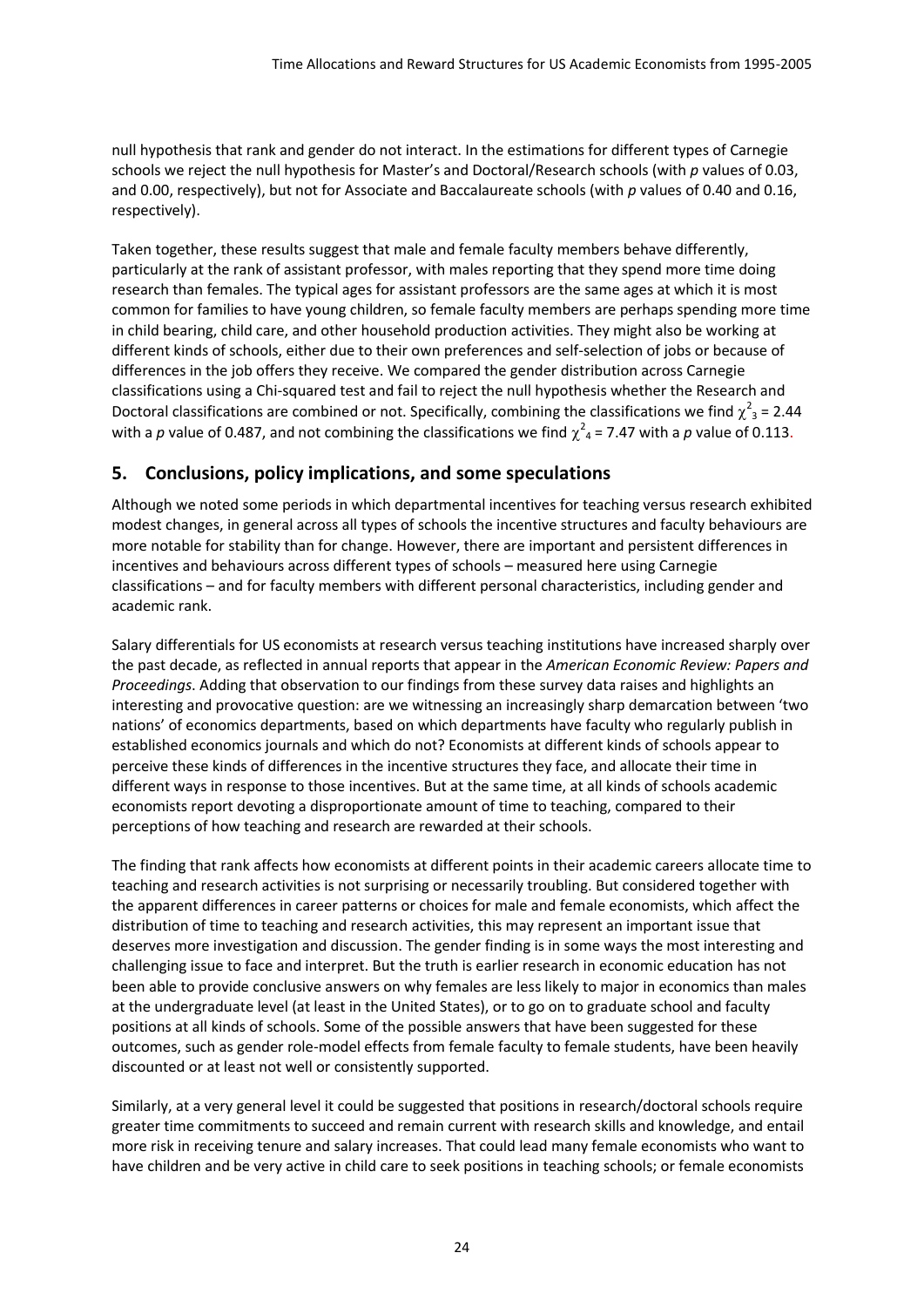null hypothesis that rank and gender do not interact. In the estimations for different types of Carnegie schools we reject the null hypothesis for Master's and Doctoral/Research schools (with *p* values of 0.03, and 0.00, respectively), but not for Associate and Baccalaureate schools (with *p* values of 0.40 and 0.16, respectively).

Taken together, these results suggest that male and female faculty members behave differently, particularly at the rank of assistant professor, with males reporting that they spend more time doing research than females. The typical ages for assistant professors are the same ages at which it is most common for families to have young children, so female faculty members are perhaps spending more time in child bearing, child care, and other household production activities. They might also be working at different kinds of schools, either due to their own preferences and self-selection of jobs or because of differences in the job offers they receive. We compared the gender distribution across Carnegie classifications using a Chi-squared test and fail to reject the null hypothesis whether the Research and Doctoral classifications are combined or not. Specifically, combining the classifications we find  $\chi^2_{3}$  = 2.44 with a p value of 0.487, and not combining the classifications we find  $\chi^2$ <sub>4</sub> = 7.47 with a p value of 0.113.

# **5. Conclusions, policy implications, and some speculations**

Although we noted some periods in which departmental incentives for teaching versus research exhibited modest changes, in general across all types of schools the incentive structures and faculty behaviours are more notable for stability than for change. However, there are important and persistent differences in incentives and behaviours across different types of schools – measured here using Carnegie classifications – and for faculty members with different personal characteristics, including gender and academic rank.

Salary differentials for US economists at research versus teaching institutions have increased sharply over the past decade, as reflected in annual reports that appear in the *American Economic Review: Papers and Proceedings*. Adding that observation to our findings from these survey data raises and highlights an interesting and provocative question: are we witnessing an increasingly sharp demarcation between 'two nations' of economics departments, based on which departments have faculty who regularly publish in established economics journals and which do not? Economists at different kinds of schools appear to perceive these kinds of differences in the incentive structures they face, and allocate their time in different ways in response to those incentives. But at the same time, at all kinds of schools academic economists report devoting a disproportionate amount of time to teaching, compared to their perceptions of how teaching and research are rewarded at their schools.

The finding that rank affects how economists at different points in their academic careers allocate time to teaching and research activities is not surprising or necessarily troubling. But considered together with the apparent differences in career patterns or choices for male and female economists, which affect the distribution of time to teaching and research activities, this may represent an important issue that deserves more investigation and discussion. The gender finding is in some ways the most interesting and challenging issue to face and interpret. But the truth is earlier research in economic education has not been able to provide conclusive answers on why females are less likely to major in economics than males at the undergraduate level (at least in the United States), or to go on to graduate school and faculty positions at all kinds of schools. Some of the possible answers that have been suggested for these outcomes, such as gender role-model effects from female faculty to female students, have been heavily discounted or at least not well or consistently supported.

Similarly, at a very general level it could be suggested that positions in research/doctoral schools require greater time commitments to succeed and remain current with research skills and knowledge, and entail more risk in receiving tenure and salary increases. That could lead many female economists who want to have children and be very active in child care to seek positions in teaching schools; or female economists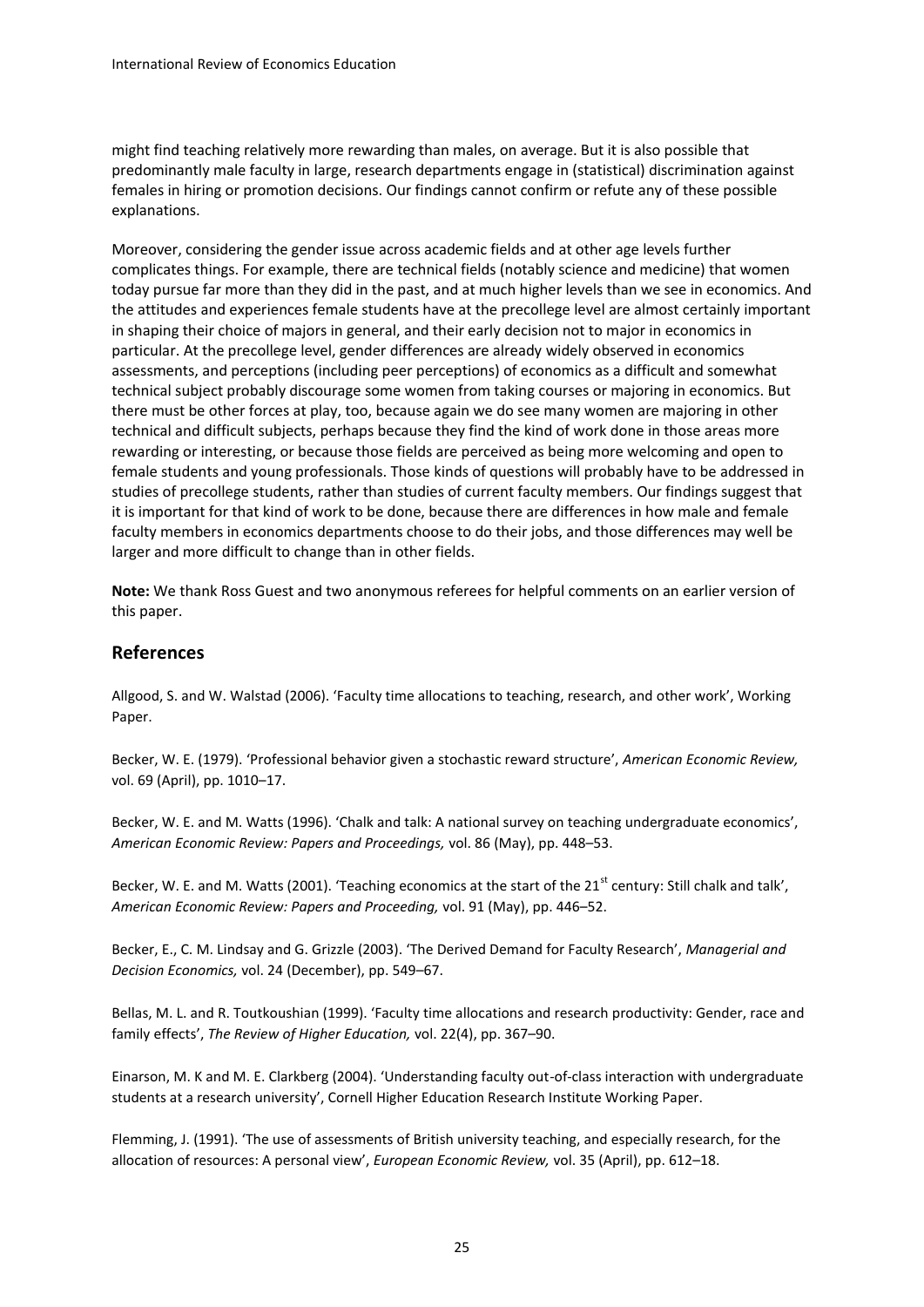might find teaching relatively more rewarding than males, on average. But it is also possible that predominantly male faculty in large, research departments engage in (statistical) discrimination against females in hiring or promotion decisions. Our findings cannot confirm or refute any of these possible explanations.

Moreover, considering the gender issue across academic fields and at other age levels further complicates things. For example, there are technical fields (notably science and medicine) that women today pursue far more than they did in the past, and at much higher levels than we see in economics. And the attitudes and experiences female students have at the precollege level are almost certainly important in shaping their choice of majors in general, and their early decision not to major in economics in particular. At the precollege level, gender differences are already widely observed in economics assessments, and perceptions (including peer perceptions) of economics as a difficult and somewhat technical subject probably discourage some women from taking courses or majoring in economics. But there must be other forces at play, too, because again we do see many women are majoring in other technical and difficult subjects, perhaps because they find the kind of work done in those areas more rewarding or interesting, or because those fields are perceived as being more welcoming and open to female students and young professionals. Those kinds of questions will probably have to be addressed in studies of precollege students, rather than studies of current faculty members. Our findings suggest that it is important for that kind of work to be done, because there are differences in how male and female faculty members in economics departments choose to do their jobs, and those differences may well be larger and more difficult to change than in other fields.

**Note:** We thank Ross Guest and two anonymous referees for helpful comments on an earlier version of this paper.

### **References**

Allgood, S. and W. Walstad (2006). 'Faculty time allocations to teaching, research, and other work', Working Paper.

Becker, W. E. (1979). 'Professional behavior given a stochastic reward structure', *American Economic Review,*  vol. 69 (April), pp. 1010–17.

Becker, W. E. and M. Watts (1996). 'Chalk and talk: A national survey on teaching undergraduate economics', *American Economic Review: Papers and Proceedings,* vol. 86 (May), pp. 448–53.

Becker, W. E. and M. Watts (2001). 'Teaching economics at the start of the 21<sup>st</sup> century: Still chalk and talk', *American Economic Review: Papers and Proceeding,* vol. 91 (May), pp. 446–52.

Becker, E., C. M. Lindsay and G. Grizzle (2003). 'The Derived Demand for Faculty Research', *Managerial and Decision Economics,* vol. 24 (December), pp. 549–67.

Bellas, M. L. and R. Toutkoushian (1999). 'Faculty time allocations and research productivity: Gender, race and family effects', *The Review of Higher Education,* vol. 22(4), pp. 367–90.

Einarson, M. K and M. E. Clarkberg (2004). 'Understanding faculty out-of-class interaction with undergraduate students at a research university', Cornell Higher Education Research Institute Working Paper.

Flemming, J. (1991). 'The use of assessments of British university teaching, and especially research, for the allocation of resources: A personal view', *European Economic Review,* vol. 35 (April), pp. 612–18.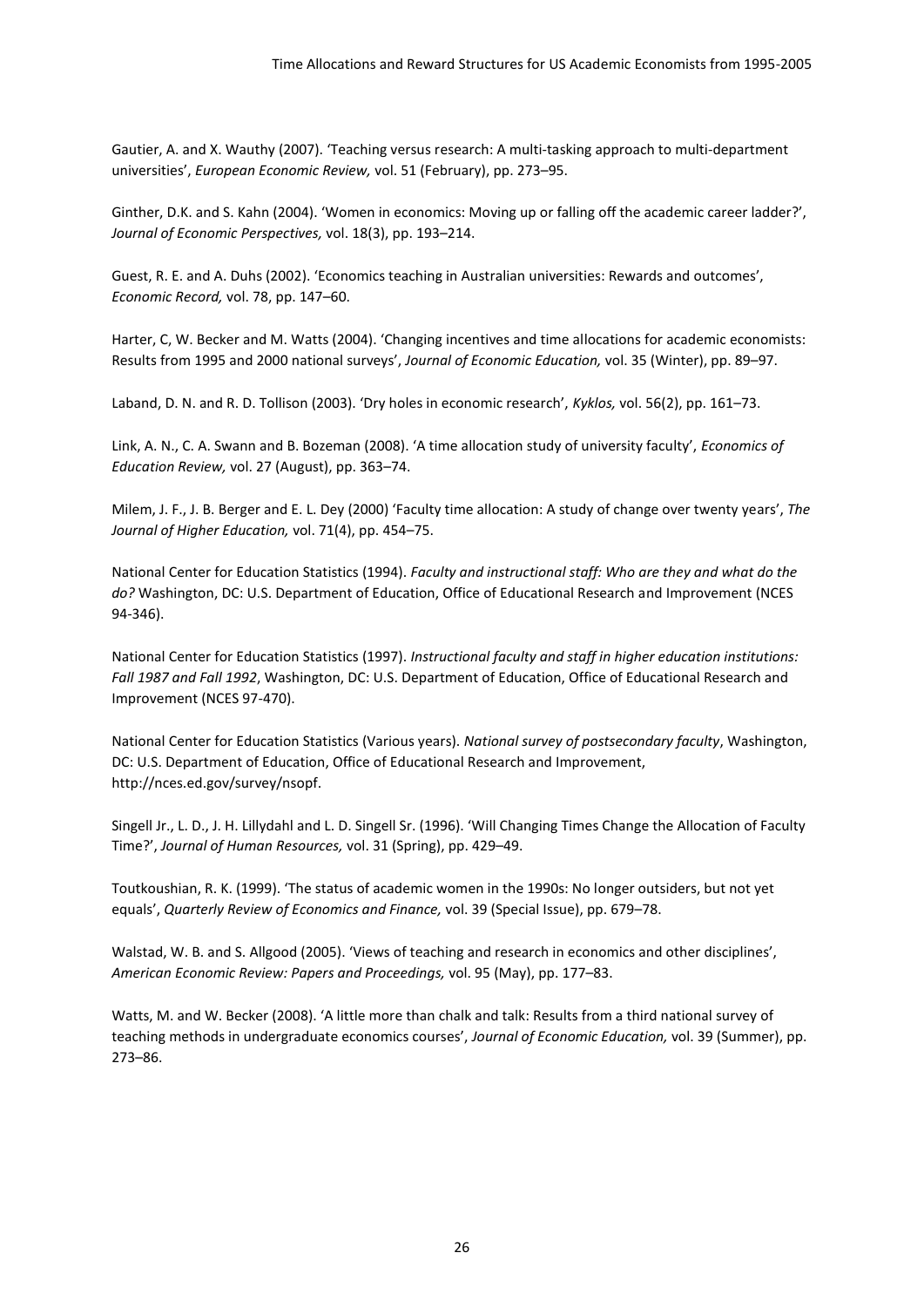Gautier, A. and X. Wauthy (2007). 'Teaching versus research: A multi-tasking approach to multi-department universities', *European Economic Review,* vol. 51 (February), pp. 273–95.

Ginther, D.K. and S. Kahn (2004). 'Women in economics: Moving up or falling off the academic career ladder?', *Journal of Economic Perspectives,* vol. 18(3), pp. 193–214.

Guest, R. E. and A. Duhs (2002). 'Economics teaching in Australian universities: Rewards and outcomes', *Economic Record,* vol. 78, pp. 147–60.

Harter, C, W. Becker and M. Watts (2004). 'Changing incentives and time allocations for academic economists: Results from 1995 and 2000 national surveys', *Journal of Economic Education,* vol. 35 (Winter), pp. 89–97.

Laband, D. N. and R. D. Tollison (2003). 'Dry holes in economic research', *Kyklos,* vol. 56(2), pp. 161–73.

Link, A. N., C. A. Swann and B. Bozeman (2008). 'A time allocation study of university faculty', *Economics of Education Review,* vol. 27 (August), pp. 363–74.

Milem, J. F., J. B. Berger and E. L. Dey (2000) 'Faculty time allocation: A study of change over twenty years', *The Journal of Higher Education,* vol. 71(4), pp. 454–75.

National Center for Education Statistics (1994). *Faculty and instructional staff: Who are they and what do the do?* Washington, DC: U.S. Department of Education, Office of Educational Research and Improvement (NCES 94-346).

National Center for Education Statistics (1997). *Instructional faculty and staff in higher education institutions: Fall 1987 and Fall 1992*, Washington, DC: U.S. Department of Education, Office of Educational Research and Improvement (NCES 97-470).

National Center for Education Statistics (Various years). *National survey of postsecondary faculty*, Washington, DC: U.S. Department of Education, Office of Educational Research and Improvement, http://nces.ed.gov/survey/nsopf.

Singell Jr., L. D., J. H. Lillydahl and L. D. Singell Sr. (1996). 'Will Changing Times Change the Allocation of Faculty Time?', *Journal of Human Resources,* vol. 31 (Spring), pp. 429–49.

Toutkoushian, R. K. (1999). 'The status of academic women in the 1990s: No longer outsiders, but not yet equals', *Quarterly Review of Economics and Finance,* vol. 39 (Special Issue), pp. 679–78.

Walstad, W. B. and S. Allgood (2005). 'Views of teaching and research in economics and other disciplines', *American Economic Review: Papers and Proceedings,* vol. 95 (May), pp. 177–83.

Watts, M. and W. Becker (2008). 'A little more than chalk and talk: Results from a third national survey of teaching methods in undergraduate economics courses', *Journal of Economic Education,* vol. 39 (Summer), pp. 273–86.